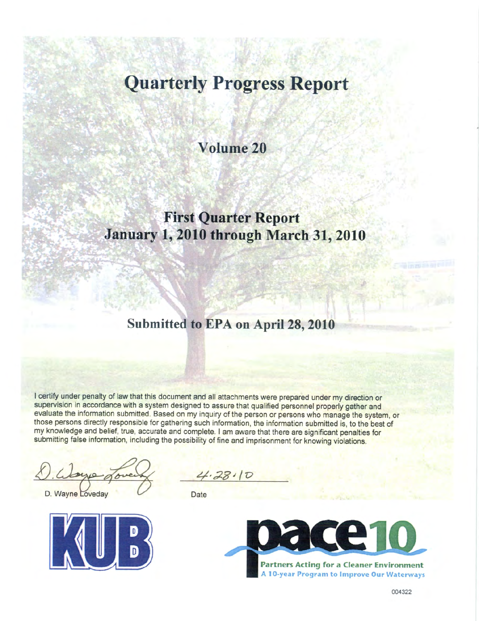# **Quarterly Progress Report**

**Volume 20**

## **First Quarter Report January 1, 2010 through March 31, 2010**

## **Submitted to EPA on April 28, 2010**

I certify under penalty of law that this document and all attachments were prepared under my direction or supervision in accordance with a system designed to assure that qualified personnel properly gather and evaluate the information submitted. Based on my inquiry of the person or persons who manage the system, or those persons directly responsible for gathering such information, the information submitted is, to the best of my knowledge and belief, true, accurate and complete. I am aware that there are significant penalties for submitting false information, including the possibility of fine and imprisonment for knowing violations.

D. Wayne Loveday



 $28110$ 

**Date** 

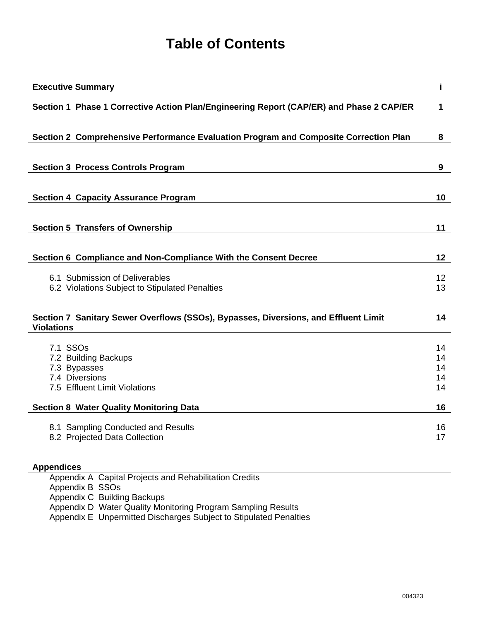## **Table of Contents**

| <b>Executive Summary</b>                                                                | i.       |
|-----------------------------------------------------------------------------------------|----------|
| Section 1 Phase 1 Corrective Action Plan/Engineering Report (CAP/ER) and Phase 2 CAP/ER | 1        |
|                                                                                         |          |
| Section 2 Comprehensive Performance Evaluation Program and Composite Correction Plan    | 8        |
|                                                                                         |          |
| <b>Section 3 Process Controls Program</b>                                               | 9        |
|                                                                                         |          |
| <b>Section 4 Capacity Assurance Program</b>                                             | 10       |
|                                                                                         |          |
| <b>Section 5 Transfers of Ownership</b>                                                 | 11       |
|                                                                                         |          |
| Section 6 Compliance and Non-Compliance With the Consent Decree                         | 12       |
| 6.1 Submission of Deliverables                                                          | 12       |
| 6.2 Violations Subject to Stipulated Penalties                                          | 13       |
|                                                                                         |          |
| Section 7 Sanitary Sewer Overflows (SSOs), Bypasses, Diversions, and Effluent Limit     | 14       |
| <b>Violations</b>                                                                       |          |
| 7.1 SSO <sub>s</sub>                                                                    | 14       |
| 7.2 Building Backups                                                                    | 14       |
| 7.3 Bypasses                                                                            | 14       |
| 7.4 Diversions                                                                          | 14       |
| 7.5 Effluent Limit Violations                                                           | 14       |
| <b>Section 8 Water Quality Monitoring Data</b>                                          | 16       |
|                                                                                         |          |
| 8.1 Sampling Conducted and Results<br>8.2 Projected Data Collection                     | 16<br>17 |
|                                                                                         |          |
| <b>Appendices</b>                                                                       |          |
| Appendix A Capital Projects and Rehabilitation Credits                                  |          |
| Appendix B SSOs                                                                         |          |

Appendix C Building Backups

Appendix D Water Quality Monitoring Program Sampling Results

Appendix E Unpermitted Discharges Subject to Stipulated Penalties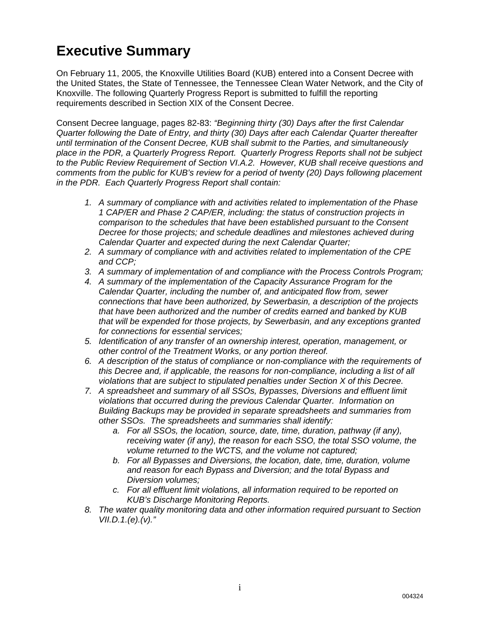## **Executive Summary**

On February 11, 2005, the Knoxville Utilities Board (KUB) entered into a Consent Decree with the United States, the State of Tennessee, the Tennessee Clean Water Network, and the City of Knoxville. The following Quarterly Progress Report is submitted to fulfill the reporting requirements described in Section XIX of the Consent Decree.

Consent Decree language, pages 82-83: *"Beginning thirty (30) Days after the first Calendar Quarter following the Date of Entry, and thirty (30) Days after each Calendar Quarter thereafter until termination of the Consent Decree, KUB shall submit to the Parties, and simultaneously place in the PDR, a Quarterly Progress Report. Quarterly Progress Reports shall not be subject to the Public Review Requirement of Section VI.A.2. However, KUB shall receive questions and comments from the public for KUB's review for a period of twenty (20) Days following placement in the PDR. Each Quarterly Progress Report shall contain:* 

- *1. A summary of compliance with and activities related to implementation of the Phase 1 CAP/ER and Phase 2 CAP/ER, including: the status of construction projects in comparison to the schedules that have been established pursuant to the Consent Decree for those projects; and schedule deadlines and milestones achieved during Calendar Quarter and expected during the next Calendar Quarter;*
- *2. A summary of compliance with and activities related to implementation of the CPE and CCP;*
- *3. A summary of implementation of and compliance with the Process Controls Program;*
- *4. A summary of the implementation of the Capacity Assurance Program for the Calendar Quarter, including the number of, and anticipated flow from, sewer connections that have been authorized, by Sewerbasin, a description of the projects that have been authorized and the number of credits earned and banked by KUB that will be expended for those projects, by Sewerbasin, and any exceptions granted for connections for essential services;*
- *5. Identification of any transfer of an ownership interest, operation, management, or other control of the Treatment Works, or any portion thereof.*
- *6. A description of the status of compliance or non-compliance with the requirements of this Decree and, if applicable, the reasons for non-compliance, including a list of all violations that are subject to stipulated penalties under Section X of this Decree.*
- *7. A spreadsheet and summary of all SSOs, Bypasses, Diversions and effluent limit violations that occurred during the previous Calendar Quarter. Information on Building Backups may be provided in separate spreadsheets and summaries from other SSOs. The spreadsheets and summaries shall identify:* 
	- *a. For all SSOs, the location, source, date, time, duration, pathway (if any), receiving water (if any), the reason for each SSO, the total SSO volume, the volume returned to the WCTS, and the volume not captured;*
	- *b. For all Bypasses and Diversions, the location, date, time, duration, volume and reason for each Bypass and Diversion; and the total Bypass and Diversion volumes;*
	- *c. For all effluent limit violations, all information required to be reported on KUB's Discharge Monitoring Reports.*
- *8. The water quality monitoring data and other information required pursuant to Section VII.D.1.(e).(v)."*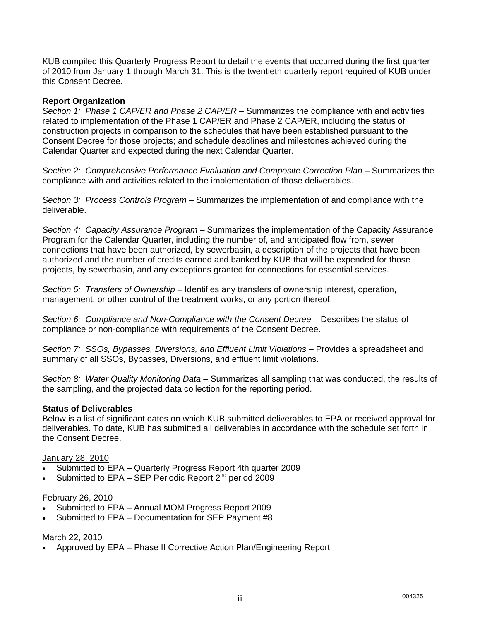KUB compiled this Quarterly Progress Report to detail the events that occurred during the first quarter of 2010 from January 1 through March 31. This is the twentieth quarterly report required of KUB under this Consent Decree.

### **Report Organization**

*Section 1: Phase 1 CAP/ER and Phase 2 CAP/ER* – Summarizes the compliance with and activities related to implementation of the Phase 1 CAP/ER and Phase 2 CAP/ER, including the status of construction projects in comparison to the schedules that have been established pursuant to the Consent Decree for those projects; and schedule deadlines and milestones achieved during the Calendar Quarter and expected during the next Calendar Quarter.

*Section 2: Comprehensive Performance Evaluation and Composite Correction Plan* – Summarizes the compliance with and activities related to the implementation of those deliverables.

*Section 3: Process Controls Program* – Summarizes the implementation of and compliance with the deliverable.

*Section 4: Capacity Assurance Program* – Summarizes the implementation of the Capacity Assurance Program for the Calendar Quarter, including the number of, and anticipated flow from, sewer connections that have been authorized, by sewerbasin, a description of the projects that have been authorized and the number of credits earned and banked by KUB that will be expended for those projects, by sewerbasin, and any exceptions granted for connections for essential services.

*Section 5: Transfers of Ownership* – Identifies any transfers of ownership interest, operation, management, or other control of the treatment works, or any portion thereof.

*Section 6: Compliance and Non-Compliance with the Consent Decree* – Describes the status of compliance or non-compliance with requirements of the Consent Decree.

*Section 7: SSOs, Bypasses, Diversions, and Effluent Limit Violations* – Provides a spreadsheet and summary of all SSOs, Bypasses, Diversions, and effluent limit violations.

*Section 8: Water Quality Monitoring Data* – Summarizes all sampling that was conducted, the results of the sampling, and the projected data collection for the reporting period.

#### **Status of Deliverables**

Below is a list of significant dates on which KUB submitted deliverables to EPA or received approval for deliverables. To date, KUB has submitted all deliverables in accordance with the schedule set forth in the Consent Decree.

#### January 28, 2010

- Submitted to EPA Quarterly Progress Report 4th quarter 2009
- Submitted to  $EPA SEP$  Periodic Report  $2^{nd}$  period 2009

#### February 26, 2010

- Submitted to EPA Annual MOM Progress Report 2009
- Submitted to EPA Documentation for SEP Payment #8

#### March 22, 2010

Approved by EPA – Phase II Corrective Action Plan/Engineering Report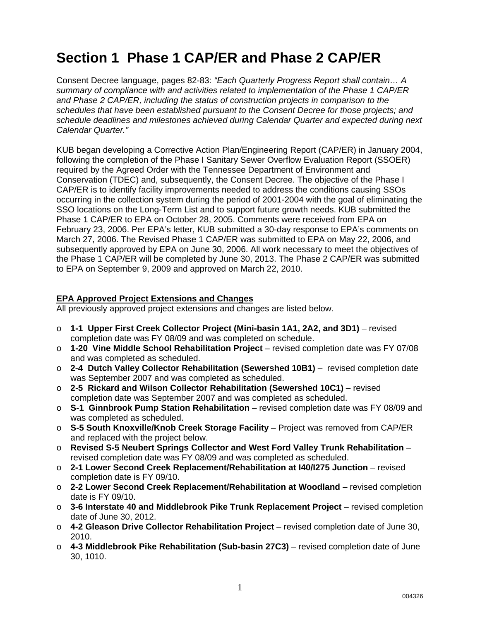# **Section 1 Phase 1 CAP/ER and Phase 2 CAP/ER**

Consent Decree language, pages 82-83: *"Each Quarterly Progress Report shall contain… A summary of compliance with and activities related to implementation of the Phase 1 CAP/ER and Phase 2 CAP/ER, including the status of construction projects in comparison to the schedules that have been established pursuant to the Consent Decree for those projects; and schedule deadlines and milestones achieved during Calendar Quarter and expected during next Calendar Quarter."*

KUB began developing a Corrective Action Plan/Engineering Report (CAP/ER) in January 2004, following the completion of the Phase I Sanitary Sewer Overflow Evaluation Report (SSOER) required by the Agreed Order with the Tennessee Department of Environment and Conservation (TDEC) and, subsequently, the Consent Decree. The objective of the Phase I CAP/ER is to identify facility improvements needed to address the conditions causing SSOs occurring in the collection system during the period of 2001-2004 with the goal of eliminating the SSO locations on the Long-Term List and to support future growth needs. KUB submitted the Phase 1 CAP/ER to EPA on October 28, 2005. Comments were received from EPA on February 23, 2006. Per EPA's letter, KUB submitted a 30-day response to EPA's comments on March 27, 2006. The Revised Phase 1 CAP/ER was submitted to EPA on May 22, 2006, and subsequently approved by EPA on June 30, 2006. All work necessary to meet the objectives of the Phase 1 CAP/ER will be completed by June 30, 2013. The Phase 2 CAP/ER was submitted to EPA on September 9, 2009 and approved on March 22, 2010.

### **EPA Approved Project Extensions and Changes**

All previously approved project extensions and changes are listed below.

- o **1-1 Upper First Creek Collector Project (Mini-basin 1A1, 2A2, and 3D1)** revised completion date was FY 08/09 and was completed on schedule.
- o **1-20 Vine Middle School Rehabilitation Project** revised completion date was FY 07/08 and was completed as scheduled.
- o **2-4 Dutch Valley Collector Rehabilitation (Sewershed 10B1)** revised completion date was September 2007 and was completed as scheduled.
- o **2-5 Rickard and Wilson Collector Rehabilitation (Sewershed 10C1)** revised completion date was September 2007 and was completed as scheduled.
- o **S-1 Ginnbrook Pump Station Rehabilitation** revised completion date was FY 08/09 and was completed as scheduled.
- o **S-5 South Knoxville/Knob Creek Storage Facility** Project was removed from CAP/ER and replaced with the project below.
- o **Revised S-5 Neubert Springs Collector and West Ford Valley Trunk Rehabilitation** revised completion date was FY 08/09 and was completed as scheduled.
- o **2-1 Lower Second Creek Replacement/Rehabilitation at I40/I275 Junction** revised completion date is FY 09/10.
- o **2-2 Lower Second Creek Replacement/Rehabilitation at Woodland** revised completion date is FY 09/10.
- o **3-6 Interstate 40 and Middlebrook Pike Trunk Replacement Project** revised completion date of June 30, 2012.
- o **4-2 Gleason Drive Collector Rehabilitation Project** revised completion date of June 30, 2010.
- o **4-3 Middlebrook Pike Rehabilitation (Sub-basin 27C3)** revised completion date of June 30, 1010.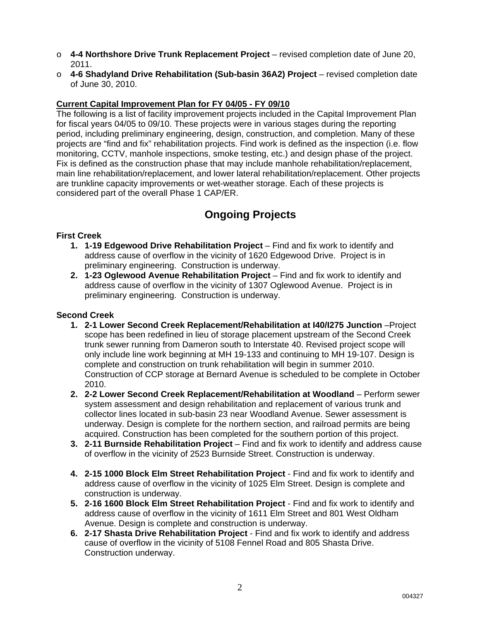- o **4-4 Northshore Drive Trunk Replacement Project** revised completion date of June 20, 2011.
- o **4-6 Shadyland Drive Rehabilitation (Sub-basin 36A2) Project** revised completion date of June 30, 2010.

### **Current Capital Improvement Plan for FY 04/05 - FY 09/10**

The following is a list of facility improvement projects included in the Capital Improvement Plan for fiscal years 04/05 to 09/10. These projects were in various stages during the reporting period, including preliminary engineering, design, construction, and completion. Many of these projects are "find and fix" rehabilitation projects. Find work is defined as the inspection (i.e. flow monitoring, CCTV, manhole inspections, smoke testing, etc.) and design phase of the project. Fix is defined as the construction phase that may include manhole rehabilitation/replacement, main line rehabilitation/replacement, and lower lateral rehabilitation/replacement. Other projects are trunkline capacity improvements or wet-weather storage. Each of these projects is considered part of the overall Phase 1 CAP/ER.

## **Ongoing Projects**

### **First Creek**

- **1. 1-19 Edgewood Drive Rehabilitation Project** Find and fix work to identify and address cause of overflow in the vicinity of 1620 Edgewood Drive. Project is in preliminary engineering. Construction is underway.
- **2. 1-23 Oglewood Avenue Rehabilitation Project** Find and fix work to identify and address cause of overflow in the vicinity of 1307 Oglewood Avenue. Project is in preliminary engineering. Construction is underway.

### **Second Creek**

- **1. 2-1 Lower Second Creek Replacement/Rehabilitation at I40/I275 Junction** –Project scope has been redefined in lieu of storage placement upstream of the Second Creek trunk sewer running from Dameron south to Interstate 40. Revised project scope will only include line work beginning at MH 19-133 and continuing to MH 19-107. Design is complete and construction on trunk rehabilitation will begin in summer 2010. Construction of CCP storage at Bernard Avenue is scheduled to be complete in October 2010.
- **2. 2-2 Lower Second Creek Replacement/Rehabilitation at Woodland** Perform sewer system assessment and design rehabilitation and replacement of various trunk and collector lines located in sub-basin 23 near Woodland Avenue. Sewer assessment is underway. Design is complete for the northern section, and railroad permits are being acquired. Construction has been completed for the southern portion of this project.
- **3. 2-11 Burnside Rehabilitation Project** Find and fix work to identify and address cause of overflow in the vicinity of 2523 Burnside Street. Construction is underway.
- **4. 2-15 1000 Block Elm Street Rehabilitation Project**  Find and fix work to identify and address cause of overflow in the vicinity of 1025 Elm Street. Design is complete and construction is underway.
- **5. 2-16 1600 Block Elm Street Rehabilitation Project**  Find and fix work to identify and address cause of overflow in the vicinity of 1611 Elm Street and 801 West Oldham Avenue. Design is complete and construction is underway.
- **6. 2-17 Shasta Drive Rehabilitation Project**  Find and fix work to identify and address cause of overflow in the vicinity of 5108 Fennel Road and 805 Shasta Drive. Construction underway.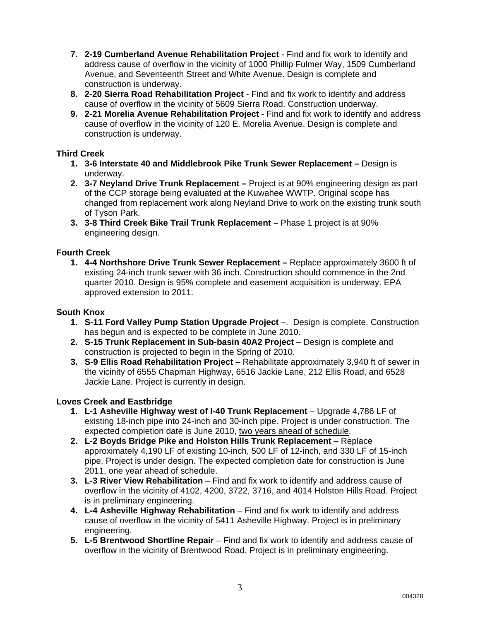- **7. 2-19 Cumberland Avenue Rehabilitation Project**  Find and fix work to identify and address cause of overflow in the vicinity of 1000 Phillip Fulmer Way, 1509 Cumberland Avenue, and Seventeenth Street and White Avenue. Design is complete and construction is underway.
- **8. 2-20 Sierra Road Rehabilitation Project**  Find and fix work to identify and address cause of overflow in the vicinity of 5609 Sierra Road. Construction underway.
- **9. 2-21 Morelia Avenue Rehabilitation Project** Find and fix work to identify and address cause of overflow in the vicinity of 120 E. Morelia Avenue. Design is complete and construction is underway.

### **Third Creek**

- **1. 3-6 Interstate 40 and Middlebrook Pike Trunk Sewer Replacement** Design is underway.
- **2. 3-7 Neyland Drive Trunk Replacement** Project is at 90% engineering design as part of the CCP storage being evaluated at the Kuwahee WWTP. Original scope has changed from replacement work along Neyland Drive to work on the existing trunk south of Tyson Park.
- **3. 3-8 Third Creek Bike Trail Trunk Replacement** Phase 1 project is at 90% engineering design.

### **Fourth Creek**

**1. 4-4 Northshore Drive Trunk Sewer Replacement –** Replace approximately 3600 ft of existing 24-inch trunk sewer with 36 inch. Construction should commence in the 2nd quarter 2010. Design is 95% complete and easement acquisition is underway. EPA approved extension to 2011.

### **South Knox**

- **1. S-11 Ford Valley Pump Station Upgrade Project** –. Design is complete. Construction has begun and is expected to be complete in June 2010.
- **2. S-15 Trunk Replacement in Sub-basin 40A2 Project** Design is complete and construction is projected to begin in the Spring of 2010.
- **3. S-9 Ellis Road Rehabilitation Project** Rehabilitate approximately 3,940 ft of sewer in the vicinity of 6555 Chapman Highway, 6516 Jackie Lane, 212 Ellis Road, and 6528 Jackie Lane. Project is currently in design.

### **Loves Creek and Eastbridge**

- **1. L-1 Asheville Highway west of I-40 Trunk Replacement**  Upgrade 4,786 LF of existing 18-inch pipe into 24-inch and 30-inch pipe. Project is under construction. The expected completion date is June 2010, two years ahead of schedule.
- **2. L-2 Boyds Bridge Pike and Holston Hills Trunk Replacement** Replace approximately 4,190 LF of existing 10-inch, 500 LF of 12-inch, and 330 LF of 15-inch pipe. Project is under design. The expected completion date for construction is June 2011, one year ahead of schedule.
- **3. L-3 River View Rehabilitation**  Find and fix work to identify and address cause of overflow in the vicinity of 4102, 4200, 3722, 3716, and 4014 Holston Hills Road. Project is in preliminary engineering.
- **4. L-4 Asheville Highway Rehabilitation** Find and fix work to identify and address cause of overflow in the vicinity of 5411 Asheville Highway. Project is in preliminary engineering.
- **5. L-5 Brentwood Shortline Repair** Find and fix work to identify and address cause of overflow in the vicinity of Brentwood Road. Project is in preliminary engineering.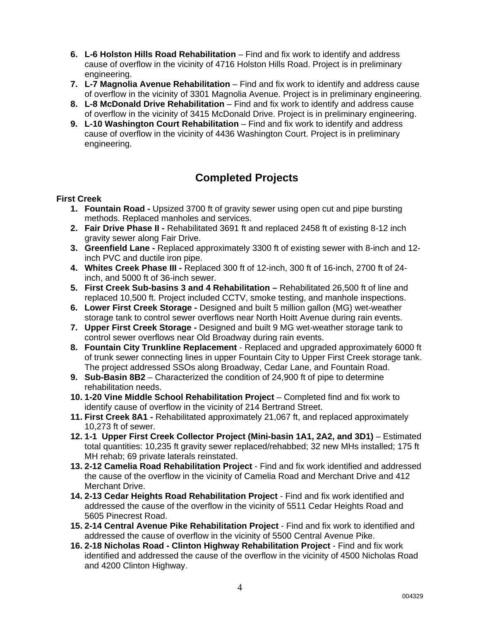- **6. L-6 Holston Hills Road Rehabilitation** Find and fix work to identify and address cause of overflow in the vicinity of 4716 Holston Hills Road. Project is in preliminary engineering.
- **7. L-7 Magnolia Avenue Rehabilitation**  Find and fix work to identify and address cause of overflow in the vicinity of 3301 Magnolia Avenue. Project is in preliminary engineering.
- **8. L-8 McDonald Drive Rehabilitation** Find and fix work to identify and address cause of overflow in the vicinity of 3415 McDonald Drive. Project is in preliminary engineering.
- **9. L-10 Washington Court Rehabilitation** Find and fix work to identify and address cause of overflow in the vicinity of 4436 Washington Court. Project is in preliminary engineering.

## **Completed Projects**

### **First Creek**

- **1. Fountain Road** Upsized 3700 ft of gravity sewer using open cut and pipe bursting methods. Replaced manholes and services.
- **2. Fair Drive Phase II** Rehabilitated 3691 ft and replaced 2458 ft of existing 8-12 inch gravity sewer along Fair Drive.
- **3. Greenfield Lane** Replaced approximately 3300 ft of existing sewer with 8-inch and 12 inch PVC and ductile iron pipe.
- **4. Whites Creek Phase III** Replaced 300 ft of 12-inch, 300 ft of 16-inch, 2700 ft of 24 inch, and 5000 ft of 36-inch sewer.
- **5. First Creek Sub-basins 3 and 4 Rehabilitation** Rehabilitated 26,500 ft of line and replaced 10,500 ft. Project included CCTV, smoke testing, and manhole inspections.
- **6. Lower First Creek Storage** Designed and built 5 million gallon (MG) wet-weather storage tank to control sewer overflows near North Hoitt Avenue during rain events.
- **7. Upper First Creek Storage** Designed and built 9 MG wet-weather storage tank to control sewer overflows near Old Broadway during rain events.
- **8. Fountain City Trunkline Replacement**  Replaced and upgraded approximately 6000 ft of trunk sewer connecting lines in upper Fountain City to Upper First Creek storage tank. The project addressed SSOs along Broadway, Cedar Lane, and Fountain Road.
- **9. Sub-Basin 8B2** Characterized the condition of 24,900 ft of pipe to determine rehabilitation needs.
- **10. 1-20 Vine Middle School Rehabilitation Project** Completed find and fix work to identify cause of overflow in the vicinity of 214 Bertrand Street.
- **11. First Creek 8A1 -** Rehabilitated approximately 21,067 ft, and replaced approximately 10,273 ft of sewer.
- **12. 1-1 Upper First Creek Collector Project (Mini-basin 1A1, 2A2, and 3D1)** Estimated total quantities: 10,235 ft gravity sewer replaced/rehabbed; 32 new MHs installed; 175 ft MH rehab; 69 private laterals reinstated.
- **13. 2-12 Camelia Road Rehabilitation Project** Find and fix work identified and addressed the cause of the overflow in the vicinity of Camelia Road and Merchant Drive and 412 Merchant Drive.
- **14. 2-13 Cedar Heights Road Rehabilitation Project**  Find and fix work identified and addressed the cause of the overflow in the vicinity of 5511 Cedar Heights Road and 5605 Pinecrest Road.
- **15. 2-14 Central Avenue Pike Rehabilitation Project**  Find and fix work to identified and addressed the cause of overflow in the vicinity of 5500 Central Avenue Pike.
- **16. 2-18 Nicholas Road Clinton Highway Rehabilitation Project**  Find and fix work identified and addressed the cause of the overflow in the vicinity of 4500 Nicholas Road and 4200 Clinton Highway.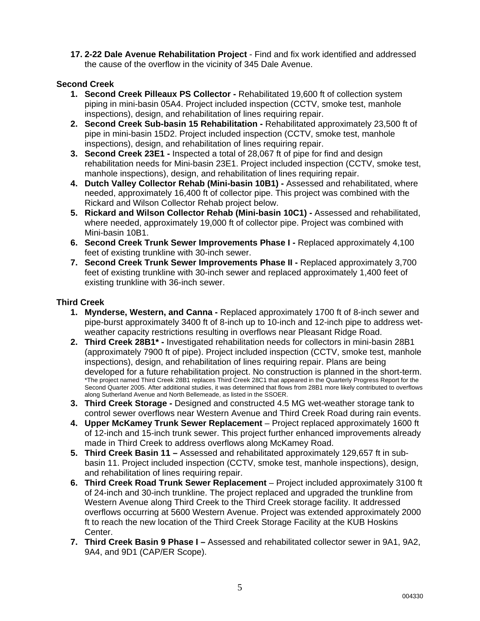**17. 2-22 Dale Avenue Rehabilitation Project** - Find and fix work identified and addressed the cause of the overflow in the vicinity of 345 Dale Avenue.

### **Second Creek**

- **1. Second Creek Pilleaux PS Collector** Rehabilitated 19,600 ft of collection system piping in mini-basin 05A4. Project included inspection (CCTV, smoke test, manhole inspections), design, and rehabilitation of lines requiring repair.
- **2. Second Creek Sub-basin 15 Rehabilitation** Rehabilitated approximately 23,500 ft of pipe in mini-basin 15D2. Project included inspection (CCTV, smoke test, manhole inspections), design, and rehabilitation of lines requiring repair.
- **3. Second Creek 23E1 -** Inspected a total of 28,067 ft of pipe for find and design rehabilitation needs for Mini-basin 23E1. Project included inspection (CCTV, smoke test, manhole inspections), design, and rehabilitation of lines requiring repair.
- **4. Dutch Valley Collector Rehab (Mini-basin 10B1)** Assessed and rehabilitated, where needed, approximately 16,400 ft of collector pipe. This project was combined with the Rickard and Wilson Collector Rehab project below.
- **5. Rickard and Wilson Collector Rehab (Mini-basin 10C1)** Assessed and rehabilitated, where needed, approximately 19,000 ft of collector pipe. Project was combined with Mini-basin 10B1.
- **6. Second Creek Trunk Sewer Improvements Phase I** Replaced approximately 4,100 feet of existing trunkline with 30-inch sewer.
- **7. Second Creek Trunk Sewer Improvements Phase II Replaced approximately 3,700** feet of existing trunkline with 30-inch sewer and replaced approximately 1,400 feet of existing trunkline with 36-inch sewer.

### **Third Creek**

- **1. Mynderse, Western, and Canna** Replaced approximately 1700 ft of 8-inch sewer and pipe-burst approximately 3400 ft of 8-inch up to 10-inch and 12-inch pipe to address wetweather capacity restrictions resulting in overflows near Pleasant Ridge Road.
- **2. Third Creek 28B1\*** Investigated rehabilitation needs for collectors in mini-basin 28B1 (approximately 7900 ft of pipe). Project included inspection (CCTV, smoke test, manhole inspections), design, and rehabilitation of lines requiring repair. Plans are being developed for a future rehabilitation project. No construction is planned in the short-term. \*The project named Third Creek 28B1 replaces Third Creek 28C1 that appeared in the Quarterly Progress Report for the Second Quarter 2005. After additional studies, it was determined that flows from 28B1 more likely contributed to overflows along Sutherland Avenue and North Bellemeade, as listed in the SSOER.
- **3. Third Creek Storage** Designed and constructed 4.5 MG wet-weather storage tank to control sewer overflows near Western Avenue and Third Creek Road during rain events.
- **4. Upper McKamey Trunk Sewer Replacement**  Project replaced approximately 1600 ft of 12-inch and 15-inch trunk sewer. This project further enhanced improvements already made in Third Creek to address overflows along McKamey Road.
- **5. Third Creek Basin 11** Assessed and rehabilitated approximately 129,657 ft in subbasin 11. Project included inspection (CCTV, smoke test, manhole inspections), design, and rehabilitation of lines requiring repair.
- **6. Third Creek Road Trunk Sewer Replacement**  Project included approximately 3100 ft of 24-inch and 30-inch trunkline. The project replaced and upgraded the trunkline from Western Avenue along Third Creek to the Third Creek storage facility. It addressed overflows occurring at 5600 Western Avenue. Project was extended approximately 2000 ft to reach the new location of the Third Creek Storage Facility at the KUB Hoskins Center.
- **7. Third Creek Basin 9 Phase I** Assessed and rehabilitated collector sewer in 9A1, 9A2, 9A4, and 9D1 (CAP/ER Scope).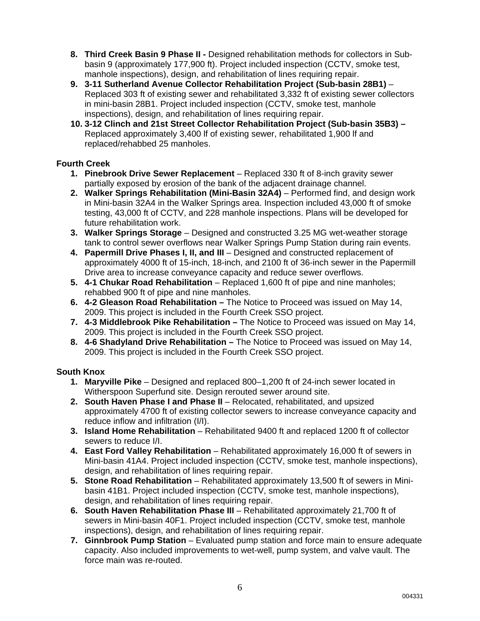- **8. Third Creek Basin 9 Phase II** Designed rehabilitation methods for collectors in Subbasin 9 (approximately 177,900 ft). Project included inspection (CCTV, smoke test, manhole inspections), design, and rehabilitation of lines requiring repair.
- **9. 3-11 Sutherland Avenue Collector Rehabilitation Project (Sub-basin 28B1)** Replaced 303 ft of existing sewer and rehabilitated 3,332 ft of existing sewer collectors in mini-basin 28B1. Project included inspection (CCTV, smoke test, manhole inspections), design, and rehabilitation of lines requiring repair.
- **10. 3-12 Clinch and 21st Street Collector Rehabilitation Project (Sub-basin 35B3)**  Replaced approximately 3,400 lf of existing sewer, rehabilitated 1,900 lf and replaced/rehabbed 25 manholes.

### **Fourth Creek**

- **1. Pinebrook Drive Sewer Replacement** Replaced 330 ft of 8-inch gravity sewer partially exposed by erosion of the bank of the adjacent drainage channel.
- **2. Walker Springs Rehabilitation (Mini-Basin 32A4)** Performed find, and design work in Mini-basin 32A4 in the Walker Springs area. Inspection included 43,000 ft of smoke testing, 43,000 ft of CCTV, and 228 manhole inspections. Plans will be developed for future rehabilitation work.
- **3. Walker Springs Storage** Designed and constructed 3.25 MG wet-weather storage tank to control sewer overflows near Walker Springs Pump Station during rain events.
- **4. Papermill Drive Phases I, II, and III** Designed and constructed replacement of approximately 4000 ft of 15-inch, 18-inch, and 2100 ft of 36-inch sewer in the Papermill Drive area to increase conveyance capacity and reduce sewer overflows.
- **5. 4-1 Chukar Road Rehabilitation** Replaced 1,600 ft of pipe and nine manholes; rehabbed 900 ft of pipe and nine manholes.
- **6. 4-2 Gleason Road Rehabilitation** The Notice to Proceed was issued on May 14, 2009. This project is included in the Fourth Creek SSO project.
- **7. 4-3 Middlebrook Pike Rehabilitation** The Notice to Proceed was issued on May 14, 2009. This project is included in the Fourth Creek SSO project.
- **8. 4-6 Shadyland Drive Rehabilitation** The Notice to Proceed was issued on May 14, 2009. This project is included in the Fourth Creek SSO project.

### **South Knox**

- **1. Maryville Pike** Designed and replaced 800–1,200 ft of 24-inch sewer located in Witherspoon Superfund site. Design rerouted sewer around site.
- **2. South Haven Phase I and Phase II** Relocated, rehabilitated, and upsized approximately 4700 ft of existing collector sewers to increase conveyance capacity and reduce inflow and infiltration (I/I).
- **3. Island Home Rehabilitation** Rehabilitated 9400 ft and replaced 1200 ft of collector sewers to reduce I/I.
- **4. East Ford Valley Rehabilitation** Rehabilitated approximately 16,000 ft of sewers in Mini-basin 41A4. Project included inspection (CCTV, smoke test, manhole inspections), design, and rehabilitation of lines requiring repair.
- **5. Stone Road Rehabilitation** Rehabilitated approximately 13,500 ft of sewers in Minibasin 41B1. Project included inspection (CCTV, smoke test, manhole inspections), design, and rehabilitation of lines requiring repair.
- **6. South Haven Rehabilitation Phase III** Rehabilitated approximately 21,700 ft of sewers in Mini-basin 40F1. Project included inspection (CCTV, smoke test, manhole inspections), design, and rehabilitation of lines requiring repair.
- **7. Ginnbrook Pump Station** Evaluated pump station and force main to ensure adequate capacity. Also included improvements to wet-well, pump system, and valve vault. The force main was re-routed.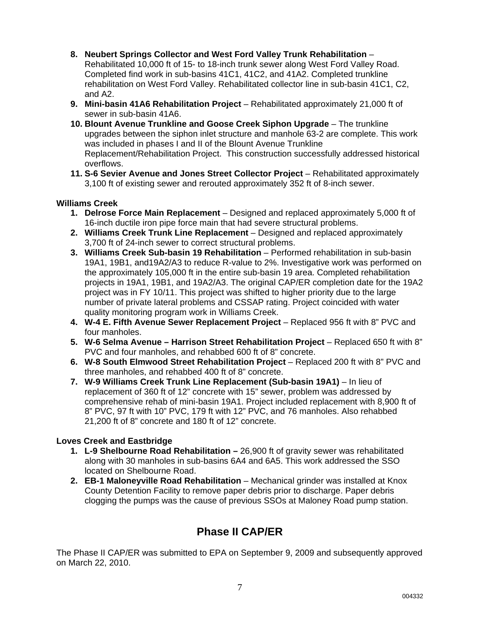- **8. Neubert Springs Collector and West Ford Valley Trunk Rehabilitation** Rehabilitated 10,000 ft of 15- to 18-inch trunk sewer along West Ford Valley Road. Completed find work in sub-basins 41C1, 41C2, and 41A2. Completed trunkline rehabilitation on West Ford Valley. Rehabilitated collector line in sub-basin 41C1, C2, and A2.
- **9. Mini-basin 41A6 Rehabilitation Project** Rehabilitated approximately 21,000 ft of sewer in sub-basin 41A6.
- **10. Blount Avenue Trunkline and Goose Creek Siphon Upgrade** The trunkline upgrades between the siphon inlet structure and manhole 63-2 are complete. This work was included in phases I and II of the Blount Avenue Trunkline Replacement/Rehabilitation Project. This construction successfully addressed historical overflows.
- **11. S-6 Sevier Avenue and Jones Street Collector Project**  Rehabilitated approximately 3,100 ft of existing sewer and rerouted approximately 352 ft of 8-inch sewer.

### **Williams Creek**

- **1. Delrose Force Main Replacement** Designed and replaced approximately 5,000 ft of 16-inch ductile iron pipe force main that had severe structural problems.
- **2. Williams Creek Trunk Line Replacement** Designed and replaced approximately 3,700 ft of 24-inch sewer to correct structural problems.
- **3. Williams Creek Sub-basin 19 Rehabilitation** Performed rehabilitation in sub-basin 19A1, 19B1, and19A2/A3 to reduce R-value to 2%. Investigative work was performed on the approximately 105,000 ft in the entire sub-basin 19 area. Completed rehabilitation projects in 19A1, 19B1, and 19A2/A3. The original CAP/ER completion date for the 19A2 project was in FY 10/11. This project was shifted to higher priority due to the large number of private lateral problems and CSSAP rating. Project coincided with water quality monitoring program work in Williams Creek.
- **4. W-4 E. Fifth Avenue Sewer Replacement Project** Replaced 956 ft with 8" PVC and four manholes.
- **5. W-6 Selma Avenue Harrison Street Rehabilitation Project** Replaced 650 ft with 8" PVC and four manholes, and rehabbed 600 ft of 8" concrete.
- **6. W-8 South Elmwood Street Rehabilitation Project** Replaced 200 ft with 8" PVC and three manholes, and rehabbed 400 ft of 8" concrete.
- **7. W-9 Williams Creek Trunk Line Replacement (Sub-basin 19A1)** In lieu of replacement of 360 ft of 12" concrete with 15" sewer, problem was addressed by comprehensive rehab of mini-basin 19A1. Project included replacement with 8,900 ft of 8" PVC, 97 ft with 10" PVC, 179 ft with 12" PVC, and 76 manholes. Also rehabbed 21,200 ft of 8" concrete and 180 ft of 12" concrete.

### **Loves Creek and Eastbridge**

- **1. L-9 Shelbourne Road Rehabilitation** 26,900 ft of gravity sewer was rehabilitated along with 30 manholes in sub-basins 6A4 and 6A5. This work addressed the SSO located on Shelbourne Road.
- **2. EB-1 Maloneyville Road Rehabilitation** Mechanical grinder was installed at Knox County Detention Facility to remove paper debris prior to discharge. Paper debris clogging the pumps was the cause of previous SSOs at Maloney Road pump station.

## **Phase II CAP/ER**

The Phase II CAP/ER was submitted to EPA on September 9, 2009 and subsequently approved on March 22, 2010.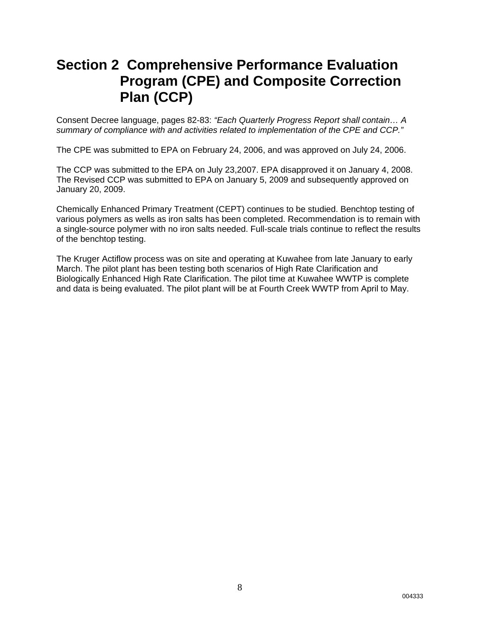## **Section 2 Comprehensive Performance Evaluation Program (CPE) and Composite Correction Plan (CCP)**

Consent Decree language, pages 82-83: *"Each Quarterly Progress Report shall contain… A summary of compliance with and activities related to implementation of the CPE and CCP."*

The CPE was submitted to EPA on February 24, 2006, and was approved on July 24, 2006.

The CCP was submitted to the EPA on July 23,2007. EPA disapproved it on January 4, 2008. The Revised CCP was submitted to EPA on January 5, 2009 and subsequently approved on January 20, 2009.

Chemically Enhanced Primary Treatment (CEPT) continues to be studied. Benchtop testing of various polymers as wells as iron salts has been completed. Recommendation is to remain with a single-source polymer with no iron salts needed. Full-scale trials continue to reflect the results of the benchtop testing.

The Kruger Actiflow process was on site and operating at Kuwahee from late January to early March. The pilot plant has been testing both scenarios of High Rate Clarification and Biologically Enhanced High Rate Clarification. The pilot time at Kuwahee WWTP is complete and data is being evaluated. The pilot plant will be at Fourth Creek WWTP from April to May.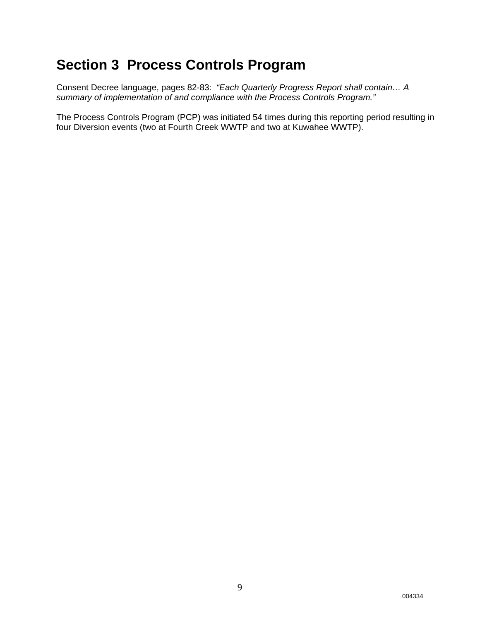## **Section 3 Process Controls Program**

Consent Decree language, pages 82-83: *"Each Quarterly Progress Report shall contain… A summary of implementation of and compliance with the Process Controls Program."*

The Process Controls Program (PCP) was initiated 54 times during this reporting period resulting in four Diversion events (two at Fourth Creek WWTP and two at Kuwahee WWTP).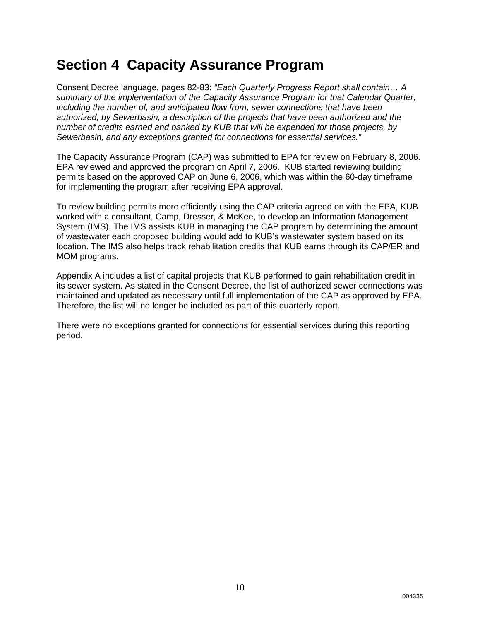## **Section 4 Capacity Assurance Program**

Consent Decree language, pages 82-83: *"Each Quarterly Progress Report shall contain… A summary of the implementation of the Capacity Assurance Program for that Calendar Quarter, including the number of, and anticipated flow from, sewer connections that have been authorized, by Sewerbasin, a description of the projects that have been authorized and the number of credits earned and banked by KUB that will be expended for those projects, by Sewerbasin, and any exceptions granted for connections for essential services."*

The Capacity Assurance Program (CAP) was submitted to EPA for review on February 8, 2006. EPA reviewed and approved the program on April 7, 2006. KUB started reviewing building permits based on the approved CAP on June 6, 2006, which was within the 60-day timeframe for implementing the program after receiving EPA approval.

To review building permits more efficiently using the CAP criteria agreed on with the EPA, KUB worked with a consultant, Camp, Dresser, & McKee, to develop an Information Management System (IMS). The IMS assists KUB in managing the CAP program by determining the amount of wastewater each proposed building would add to KUB's wastewater system based on its location. The IMS also helps track rehabilitation credits that KUB earns through its CAP/ER and MOM programs.

Appendix A includes a list of capital projects that KUB performed to gain rehabilitation credit in its sewer system. As stated in the Consent Decree, the list of authorized sewer connections was maintained and updated as necessary until full implementation of the CAP as approved by EPA. Therefore, the list will no longer be included as part of this quarterly report.

There were no exceptions granted for connections for essential services during this reporting period.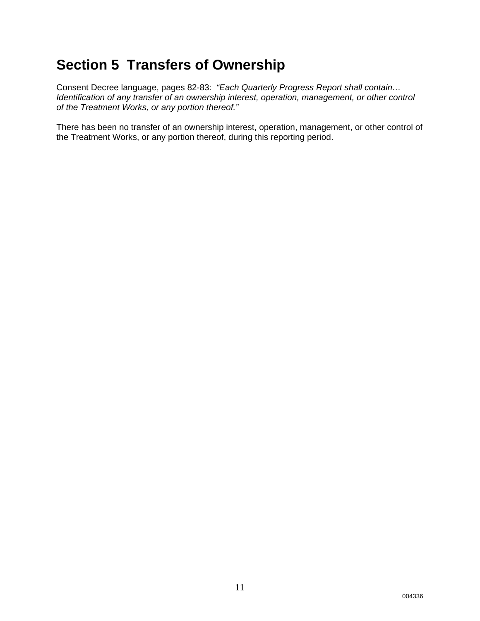## **Section 5 Transfers of Ownership**

Consent Decree language, pages 82-83: *"Each Quarterly Progress Report shall contain… Identification of any transfer of an ownership interest, operation, management, or other control of the Treatment Works, or any portion thereof."* 

There has been no transfer of an ownership interest, operation, management, or other control of the Treatment Works, or any portion thereof, during this reporting period.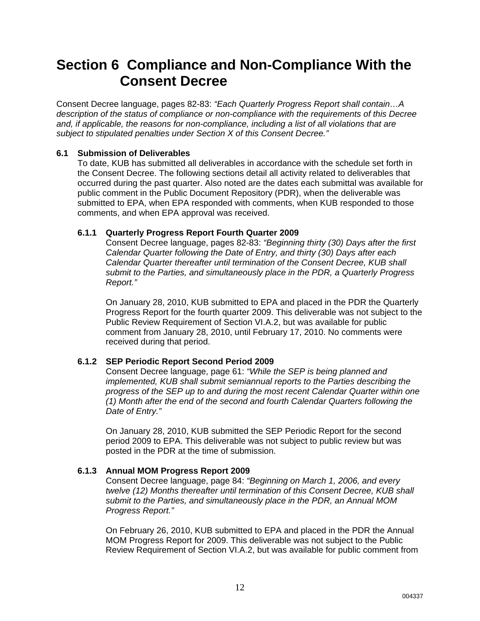## **Section 6 Compliance and Non-Compliance With the Consent Decree**

Consent Decree language, pages 82-83: *"Each Quarterly Progress Report shall contain…A description of the status of compliance or non-compliance with the requirements of this Decree and, if applicable, the reasons for non-compliance, including a list of all violations that are subject to stipulated penalties under Section X of this Consent Decree."*

### **6.1 Submission of Deliverables**

To date, KUB has submitted all deliverables in accordance with the schedule set forth in the Consent Decree. The following sections detail all activity related to deliverables that occurred during the past quarter. Also noted are the dates each submittal was available for public comment in the Public Document Repository (PDR), when the deliverable was submitted to EPA, when EPA responded with comments, when KUB responded to those comments, and when EPA approval was received.

### **6.1.1 Quarterly Progress Report Fourth Quarter 2009**

Consent Decree language, pages 82-83: *"Beginning thirty (30) Days after the first Calendar Quarter following the Date of Entry, and thirty (30) Days after each Calendar Quarter thereafter until termination of the Consent Decree, KUB shall submit to the Parties, and simultaneously place in the PDR, a Quarterly Progress Report."*

On January 28, 2010, KUB submitted to EPA and placed in the PDR the Quarterly Progress Report for the fourth quarter 2009. This deliverable was not subject to the Public Review Requirement of Section VI.A.2, but was available for public comment from January 28, 2010, until February 17, 2010. No comments were received during that period.

### **6.1.2 SEP Periodic Report Second Period 2009**

Consent Decree language, page 61: *"While the SEP is being planned and implemented, KUB shall submit semiannual reports to the Parties describing the progress of the SEP up to and during the most recent Calendar Quarter within one (1) Month after the end of the second and fourth Calendar Quarters following the Date of Entry."*

On January 28, 2010, KUB submitted the SEP Periodic Report for the second period 2009 to EPA. This deliverable was not subject to public review but was posted in the PDR at the time of submission.

### **6.1.3 Annual MOM Progress Report 2009**

Consent Decree language, page 84: *"Beginning on March 1, 2006, and every twelve (12) Months thereafter until termination of this Consent Decree, KUB shall submit to the Parties, and simultaneously place in the PDR, an Annual MOM Progress Report."*

On February 26, 2010, KUB submitted to EPA and placed in the PDR the Annual MOM Progress Report for 2009. This deliverable was not subject to the Public Review Requirement of Section VI.A.2, but was available for public comment from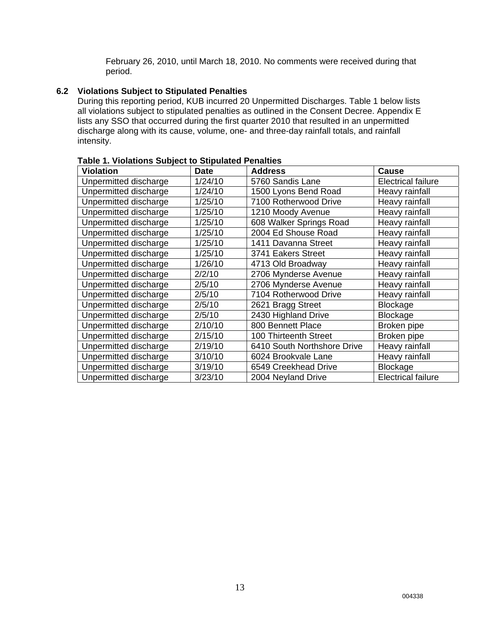February 26, 2010, until March 18, 2010. No comments were received during that period.

### **6.2 Violations Subject to Stipulated Penalties**

During this reporting period, KUB incurred 20 Unpermitted Discharges. Table 1 below lists all violations subject to stipulated penalties as outlined in the Consent Decree. Appendix E lists any SSO that occurred during the first quarter 2010 that resulted in an unpermitted discharge along with its cause, volume, one- and three-day rainfall totals, and rainfall intensity.

| o il violutiono cupjoce to chipulatou i<br><b>Violation</b> | <b>Date</b> | <b>Address</b>              | Cause                     |
|-------------------------------------------------------------|-------------|-----------------------------|---------------------------|
| Unpermitted discharge                                       | 1/24/10     | 5760 Sandis Lane            | <b>Electrical failure</b> |
| Unpermitted discharge                                       | 1/24/10     | 1500 Lyons Bend Road        | Heavy rainfall            |
| Unpermitted discharge                                       | 1/25/10     | 7100 Rotherwood Drive       | Heavy rainfall            |
| Unpermitted discharge                                       | 1/25/10     | 1210 Moody Avenue           | Heavy rainfall            |
| Unpermitted discharge                                       | 1/25/10     | 608 Walker Springs Road     | Heavy rainfall            |
| Unpermitted discharge                                       | 1/25/10     | 2004 Ed Shouse Road         | Heavy rainfall            |
| Unpermitted discharge                                       | 1/25/10     | 1411 Davanna Street         | Heavy rainfall            |
| Unpermitted discharge                                       | 1/25/10     | 3741 Eakers Street          | Heavy rainfall            |
| Unpermitted discharge                                       | 1/26/10     | 4713 Old Broadway           | Heavy rainfall            |
| Unpermitted discharge                                       | 2/2/10      | 2706 Mynderse Avenue        | Heavy rainfall            |
| Unpermitted discharge                                       | 2/5/10      | 2706 Mynderse Avenue        | Heavy rainfall            |
| Unpermitted discharge                                       | 2/5/10      | 7104 Rotherwood Drive       | Heavy rainfall            |
| Unpermitted discharge                                       | 2/5/10      | 2621 Bragg Street           | Blockage                  |
| Unpermitted discharge                                       | 2/5/10      | 2430 Highland Drive         | Blockage                  |
| Unpermitted discharge                                       | 2/10/10     | 800 Bennett Place           | Broken pipe               |
| Unpermitted discharge                                       | 2/15/10     | 100 Thirteenth Street       | Broken pipe               |
| Unpermitted discharge                                       | 2/19/10     | 6410 South Northshore Drive | Heavy rainfall            |
| Unpermitted discharge                                       | 3/10/10     | 6024 Brookvale Lane         | Heavy rainfall            |
| Unpermitted discharge                                       | 3/19/10     | 6549 Creekhead Drive        | Blockage                  |
| Unpermitted discharge                                       | 3/23/10     | 2004 Neyland Drive          | <b>Electrical failure</b> |

| <b>Table 1. Violations Subject to Stipulated Penalties</b> |
|------------------------------------------------------------|
|------------------------------------------------------------|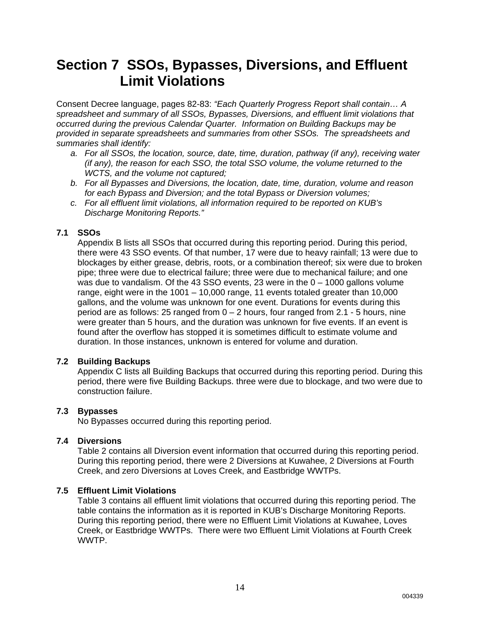## **Section 7 SSOs, Bypasses, Diversions, and Effluent Limit Violations**

Consent Decree language, pages 82-83: *"Each Quarterly Progress Report shall contain… A spreadsheet and summary of all SSOs, Bypasses, Diversions, and effluent limit violations that occurred during the previous Calendar Quarter. Information on Building Backups may be provided in separate spreadsheets and summaries from other SSOs. The spreadsheets and summaries shall identify:* 

- *a. For all SSOs, the location, source, date, time, duration, pathway (if any), receiving water (if any), the reason for each SSO, the total SSO volume, the volume returned to the WCTS, and the volume not captured;*
- *b. For all Bypasses and Diversions, the location, date, time, duration, volume and reason for each Bypass and Diversion; and the total Bypass or Diversion volumes;*
- *c. For all effluent limit violations, all information required to be reported on KUB's Discharge Monitoring Reports."*

### **7.1 SSOs**

Appendix B lists all SSOs that occurred during this reporting period. During this period, there were 43 SSO events. Of that number, 17 were due to heavy rainfall; 13 were due to blockages by either grease, debris, roots, or a combination thereof; six were due to broken pipe; three were due to electrical failure; three were due to mechanical failure; and one was due to vandalism. Of the 43 SSO events, 23 were in the 0 – 1000 gallons volume range, eight were in the 1001 – 10,000 range, 11 events totaled greater than 10,000 gallons, and the volume was unknown for one event. Durations for events during this period are as follows: 25 ranged from  $0 - 2$  hours, four ranged from 2.1 - 5 hours, nine were greater than 5 hours, and the duration was unknown for five events. If an event is found after the overflow has stopped it is sometimes difficult to estimate volume and duration. In those instances, unknown is entered for volume and duration.

### **7.2 Building Backups**

Appendix C lists all Building Backups that occurred during this reporting period. During this period, there were five Building Backups. three were due to blockage, and two were due to construction failure.

### **7.3 Bypasses**

No Bypasses occurred during this reporting period.

14

### **7.4 Diversions**

Table 2 contains all Diversion event information that occurred during this reporting period. During this reporting period, there were 2 Diversions at Kuwahee, 2 Diversions at Fourth Creek, and zero Diversions at Loves Creek, and Eastbridge WWTPs.

### **7.5 Effluent Limit Violations**

Table 3 contains all effluent limit violations that occurred during this reporting period. The table contains the information as it is reported in KUB's Discharge Monitoring Reports. During this reporting period, there were no Effluent Limit Violations at Kuwahee, Loves Creek, or Eastbridge WWTPs. There were two Effluent Limit Violations at Fourth Creek WWTP.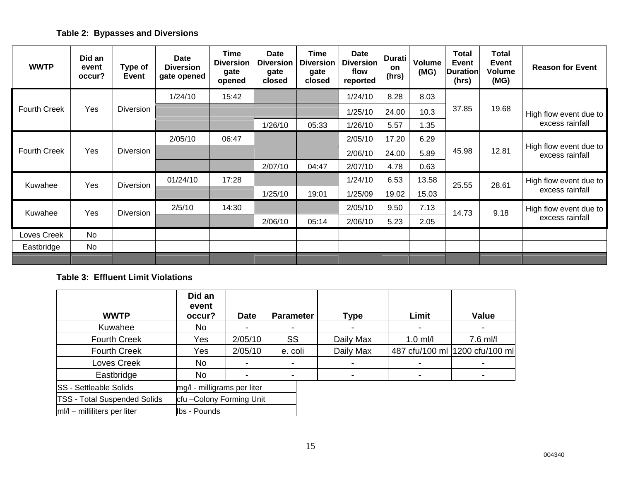### **Table 2: Bypasses and Diversions**

| <b>WWTP</b>         | Did an<br>event<br>occur? | Type of<br><b>Event</b> | Date<br><b>Diversion</b><br>gate opened | <b>Time</b><br><b>Diversion</b><br>gate<br>opened | Date<br><b>Diversion</b><br>gate<br>closed | Time<br><b>Diversion</b><br>gate<br>closed | <b>Date</b><br><b>Diversion</b><br>flow<br>reported | <b>Durati</b><br><b>on</b><br>(hrs) | <b>Volume</b><br>(MG) | Total<br>Event<br><b>Duration</b><br>(hrs) | <b>Total</b><br><b>Event</b><br>Volume<br>(MG) | <b>Reason for Event</b>                   |
|---------------------|---------------------------|-------------------------|-----------------------------------------|---------------------------------------------------|--------------------------------------------|--------------------------------------------|-----------------------------------------------------|-------------------------------------|-----------------------|--------------------------------------------|------------------------------------------------|-------------------------------------------|
|                     |                           |                         | 1/24/10                                 | 15:42                                             |                                            |                                            | 1/24/10                                             | 8.28                                | 8.03                  |                                            |                                                |                                           |
| <b>Fourth Creek</b> | Yes                       | <b>Diversion</b>        |                                         |                                                   |                                            |                                            | 1/25/10                                             | 24.00                               | 10.3                  | 37.85                                      | 19.68                                          | High flow event due to                    |
|                     |                           |                         |                                         |                                                   | 1/26/10                                    | 05:33                                      | 1/26/10                                             | 5.57                                | 1.35                  |                                            |                                                | excess rainfall                           |
|                     |                           |                         | 2/05/10                                 | 06:47                                             |                                            |                                            | 2/05/10                                             | 17.20                               | 6.29                  |                                            |                                                |                                           |
| <b>Fourth Creek</b> | Yes                       | <b>Diversion</b>        |                                         |                                                   |                                            |                                            | 2/06/10                                             | 24.00                               | 5.89                  | 45.98                                      | 12.81                                          | High flow event due to<br>excess rainfall |
|                     |                           |                         |                                         |                                                   | 2/07/10                                    | 04:47                                      | 2/07/10                                             | 4.78                                | 0.63                  |                                            |                                                |                                           |
| Kuwahee             | Yes                       | <b>Diversion</b>        | 01/24/10                                | 17:28                                             |                                            |                                            | 1/24/10                                             | 6.53                                | 13.58                 | 25.55                                      | 28.61                                          | High flow event due to                    |
|                     |                           |                         |                                         |                                                   | 1/25/10                                    | 19:01                                      | 1/25/09                                             | 19.02                               | 15.03                 |                                            |                                                | excess rainfall                           |
| Kuwahee             | Yes                       | <b>Diversion</b>        | 2/5/10                                  | 14:30                                             |                                            |                                            | 2/05/10                                             | 9.50                                | 7.13                  | 14.73                                      | 9.18                                           | High flow event due to                    |
|                     |                           |                         |                                         |                                                   | 2/06/10                                    | 05:14                                      | 2/06/10                                             | 5.23                                | 2.05                  |                                            |                                                | excess rainfall                           |
| Loves Creek         | N <sub>o</sub>            |                         |                                         |                                                   |                                            |                                            |                                                     |                                     |                       |                                            |                                                |                                           |
| Eastbridge          | No                        |                         |                                         |                                                   |                                            |                                            |                                                     |                                     |                       |                                            |                                                |                                           |
|                     |                           |                         |                                         |                                                   |                                            |                                            |                                                     |                                     |                       |                                            |                                                |                                           |

#### **Table 3: Effluent Limit Violations**

|                                     | Did an<br>event             |             |                  |                          |                |                                 |
|-------------------------------------|-----------------------------|-------------|------------------|--------------------------|----------------|---------------------------------|
| <b>WWTP</b>                         | occur?                      | <b>Date</b> | <b>Parameter</b> | <b>Type</b>              | Limit          | Value                           |
| Kuwahee                             | No                          |             |                  | $\overline{\phantom{a}}$ |                |                                 |
| <b>Fourth Creek</b>                 | Yes                         | 2/05/10     | <b>SS</b>        | Daily Max                | $1.0$ ml/l     | 7.6 ml/l                        |
| <b>Fourth Creek</b>                 | Yes                         | 2/05/10     | e. coli          | Daily Max                |                | 487 cfu/100 ml  1200 cfu/100 ml |
| Loves Creek                         | No                          |             |                  |                          |                |                                 |
| Eastbridge                          | No                          |             |                  |                          | $\blacksquare$ |                                 |
| <b>SS</b> - Settleable Solids       | mg/l - milligrams per liter |             |                  |                          |                |                                 |
| <b>TSS - Total Suspended Solids</b> | cfu-Colony Forming Unit     |             |                  |                          |                |                                 |
| $ m /l$ – milliliters per liter     | lbs - Pounds                |             |                  |                          |                |                                 |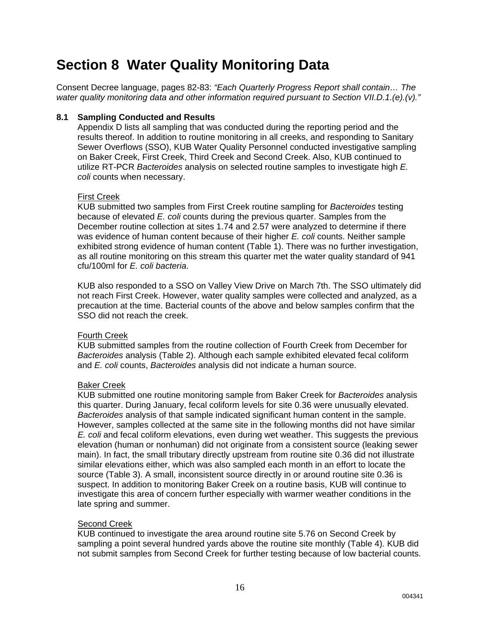## **Section 8 Water Quality Monitoring Data**

Consent Decree language, pages 82-83: *"Each Quarterly Progress Report shall contain… The water quality monitoring data and other information required pursuant to Section VII.D.1.(e).(v)."*

### **8.1 Sampling Conducted and Results**

Appendix D lists all sampling that was conducted during the reporting period and the results thereof. In addition to routine monitoring in all creeks, and responding to Sanitary Sewer Overflows (SSO), KUB Water Quality Personnel conducted investigative sampling on Baker Creek, First Creek, Third Creek and Second Creek. Also, KUB continued to utilize RT-PCR *Bacteroides* analysis on selected routine samples to investigate high *E. coli* counts when necessary.

### First Creek

KUB submitted two samples from First Creek routine sampling for *Bacteroides* testing because of elevated *E. coli* counts during the previous quarter. Samples from the December routine collection at sites 1.74 and 2.57 were analyzed to determine if there was evidence of human content because of their higher *E. coli* counts. Neither sample exhibited strong evidence of human content (Table 1). There was no further investigation, as all routine monitoring on this stream this quarter met the water quality standard of 941 cfu/100ml for *E. coli bacteria*.

KUB also responded to a SSO on Valley View Drive on March 7th. The SSO ultimately did not reach First Creek. However, water quality samples were collected and analyzed, as a precaution at the time. Bacterial counts of the above and below samples confirm that the SSO did not reach the creek.

### Fourth Creek

KUB submitted samples from the routine collection of Fourth Creek from December for *Bacteroides* analysis (Table 2). Although each sample exhibited elevated fecal coliform and *E. coli* counts, *Bacteroides* analysis did not indicate a human source.

### Baker Creek

KUB submitted one routine monitoring sample from Baker Creek for *Bacteroides* analysis this quarter. During January, fecal coliform levels for site 0.36 were unusually elevated. *Bacteroides* analysis of that sample indicated significant human content in the sample. However, samples collected at the same site in the following months did not have similar *E. coli* and fecal coliform elevations, even during wet weather. This suggests the previous elevation (human or nonhuman) did not originate from a consistent source (leaking sewer main). In fact, the small tributary directly upstream from routine site 0.36 did not illustrate similar elevations either, which was also sampled each month in an effort to locate the source (Table 3). A small, inconsistent source directly in or around routine site 0.36 is suspect. In addition to monitoring Baker Creek on a routine basis, KUB will continue to investigate this area of concern further especially with warmer weather conditions in the late spring and summer.

### Second Creek

KUB continued to investigate the area around routine site 5.76 on Second Creek by sampling a point several hundred yards above the routine site monthly (Table 4). KUB did not submit samples from Second Creek for further testing because of low bacterial counts.

004341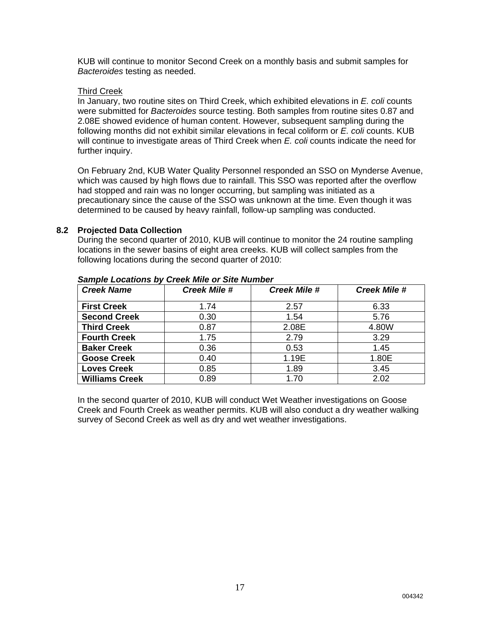KUB will continue to monitor Second Creek on a monthly basis and submit samples for *Bacteroides* testing as needed.

### Third Creek

In January, two routine sites on Third Creek, which exhibited elevations in *E. coli* counts were submitted for *Bacteroides* source testing. Both samples from routine sites 0.87 and 2.08E showed evidence of human content. However, subsequent sampling during the following months did not exhibit similar elevations in fecal coliform or *E. coli* counts. KUB will continue to investigate areas of Third Creek when *E. coli* counts indicate the need for further inquiry.

On February 2nd, KUB Water Quality Personnel responded an SSO on Mynderse Avenue, which was caused by high flows due to rainfall. This SSO was reported after the overflow had stopped and rain was no longer occurring, but sampling was initiated as a precautionary since the cause of the SSO was unknown at the time. Even though it was determined to be caused by heavy rainfall, follow-up sampling was conducted.

### **8.2 Projected Data Collection**

During the second quarter of 2010, KUB will continue to monitor the 24 routine sampling locations in the sewer basins of eight area creeks. KUB will collect samples from the following locations during the second quarter of 2010:

| <b>Creek Name</b>     | <b>Creek Mile #</b> | <b>Creek Mile #</b> | <b>Creek Mile #</b> |
|-----------------------|---------------------|---------------------|---------------------|
| <b>First Creek</b>    | 1.74                | 2.57                | 6.33                |
| <b>Second Creek</b>   | 0.30                | 1.54                | 5.76                |
| <b>Third Creek</b>    | 0.87                | 2.08E               | 4.80W               |
| <b>Fourth Creek</b>   | 1.75                | 2.79                | 3.29                |
| <b>Baker Creek</b>    | 0.36                | 0.53                | 1.45                |
| <b>Goose Creek</b>    | 0.40                | 1.19E               | 1.80E               |
| <b>Loves Creek</b>    | 0.85                | 1.89                | 3.45                |
| <b>Williams Creek</b> | 0.89                | 1.70                | 2.02                |

#### *Sample Locations by Creek Mile or Site Number*

In the second quarter of 2010, KUB will conduct Wet Weather investigations on Goose Creek and Fourth Creek as weather permits. KUB will also conduct a dry weather walking survey of Second Creek as well as dry and wet weather investigations.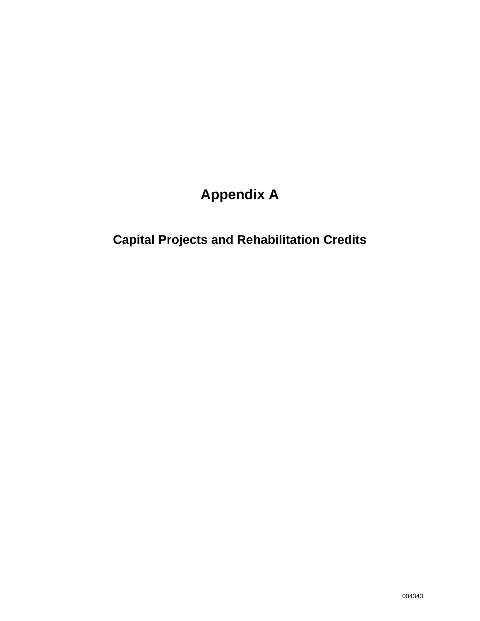# **Appendix A**

# **Capital Projects and Rehabilitation Credits**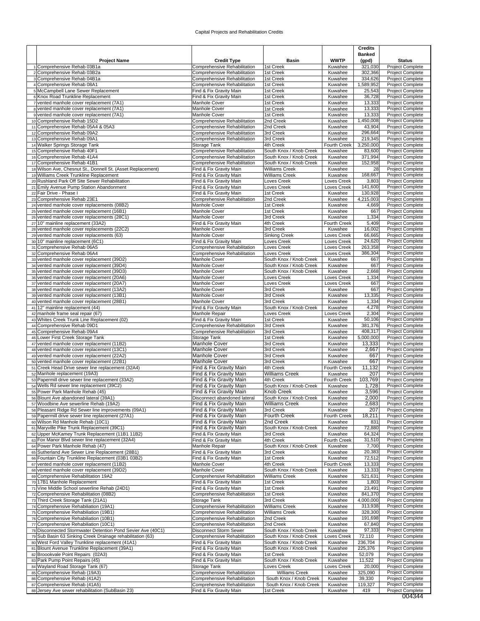#### Capital Projects and Rehabilitation Credits

|    |                                                                                                      |                                                              |                                        |                            | <b>Credits</b>       |                                             |
|----|------------------------------------------------------------------------------------------------------|--------------------------------------------------------------|----------------------------------------|----------------------------|----------------------|---------------------------------------------|
|    |                                                                                                      |                                                              |                                        | <b>WWTP</b>                | <b>Banked</b>        |                                             |
|    | <b>Project Name</b><br>1 Comprehensive Rehab 03B1a                                                   | <b>Credit Type</b><br>Comprehensive Rehabilitation           | Basin<br>1st Creek                     | Kuwahee                    | (gpd)<br>321,030     | <b>Status</b><br>Project Complete           |
|    | 2 Comprehensive Rehab 03B2a                                                                          | Comprehensive Rehabilitation                                 | 1st Creek                              | Kuwahee                    | 302,366              | Project Complete                            |
|    | 3 Comprehensive Rehab 04B1a                                                                          | Comprehensive Rehabilitation                                 | 1st Creek                              | Kuwahee                    | 334,626              | <b>Project Complete</b>                     |
|    | 4 Comprehensive Rehab 08A1<br>5 McCampbell Lane Sewer Replacement                                    | Comprehensive Rehabilitation<br>Find & Fix Gravity Main      | 1st Creek<br>1st Creek                 | Kuwahee<br>Kuwahee         | 1,589,952<br>25,543  | <b>Project Complete</b><br>Project Complete |
|    | 6 Knox Road Trunkline Replacement                                                                    | Find & Fix Gravity Main                                      | 1st Creek                              | Kuwahee                    | 36,728               | <b>Project Complete</b>                     |
|    | 7 vented manhole cover replacement (7A1)                                                             | Manhole Cover                                                | 1st Creek                              | Kuwahee                    | 13,333               | <b>Project Complete</b>                     |
|    | 8 vented manhole cover replacement (7A1)                                                             | Manhole Cover                                                | 1st Creek                              | Kuwahee                    | 13,333               | Project Complete                            |
|    | 9 vented manhole cover replacement (7A1)<br>10 Comprehensive Rehab 15D2                              | Manhole Cover<br>Comprehensive Rehabilitation                | 1st Creek<br>2nd Creek                 | Kuwahee<br>Kuwahee         | 13,333<br>1,450,008  | Project Complete<br>Project Complete        |
|    | 11 Comprehensive Rehab 05A4 & 05A3                                                                   | Comprehensive Rehabilitation                                 | 2nd Creek                              | Kuwahee                    | 43,904               | Project Complete                            |
|    | 12 Comprehensive Rehab 09A2                                                                          | Comprehensive Rehabilitation                                 | 3rd Creek                              | Kuwahee                    | 296,664              | Project Complete                            |
|    | 13 Comprehensive Rehab 09A1                                                                          | Comprehensive Rehabilitation                                 | 3rd Creek                              | Kuwahee                    | 219.345              | Project Complete                            |
|    | 14 Walker Springs Storage Tank                                                                       | Storage Tank                                                 | 4th Creek<br>South Knox / Knob Creek   | Fourth Creek<br>Kuwahee    | 3,250,000            | <b>Project Complete</b><br>Project Complete |
|    | 15 Comprehensive Rehab 40F1<br>16 Comprehensive Rehab 41A4                                           | Comprehensive Rehabilitation<br>Comprehensive Rehabilitation | South Knox / Knob Creek                | Kuwahee                    | 83,600<br>371,994    | Project Complete                            |
|    | 17 Comprehensive Rehab 41B1                                                                          | Comprehensive Rehabilitation                                 | South Knox / Knob Creek                | Kuwahee                    | 152,958              | Project Complete                            |
|    | 18 Wilson Ave, Chesnut St., Donnell St. (Asset Replacement)                                          | Find & Fix Gravity Main                                      | <b>Williams Creek</b>                  | Kuwahee                    | 28                   | Project Complete                            |
|    | 19 Williams Creek Trunkline Replacement<br>20 Rushland Park Off Site Sewer Rehabilitation            | Find & Fix Gravity Main<br>Find & Fix Gravity Main           | <b>Williams Creek</b><br>Loves Creek   | Kuwahee<br>Loves Creek     | 168,667<br>3,803     | Project Complete<br>Project Complete        |
|    | 21 Emily Avenue Pump Station Abandonment                                                             | Find & Fix Gravity Main                                      | Loves Creek                            | Loves Creek                | 141,600              | Project Complete                            |
|    | 22 Fair Drive - Phase I                                                                              | Find & Fix Gravity Main                                      | 1st Creek                              | Kuwahee                    | 130,928              | Project Complete                            |
|    | 23 Comprehensive Rehab 23E1                                                                          | Comprehensive Rehabilitation                                 | 2nd Creek                              | Kuwahee                    | 4,215,003            | <b>Project Complete</b>                     |
|    | 24 vented manhole cover replacements (08B2)                                                          | Manhole Cover                                                | 1st Creek                              | Kuwahee                    | 4,669                | <b>Project Complete</b>                     |
|    | 25 vented manhole cover replacement (16B1)<br>26 vented manhole cover replacements (28C1)            | Manhole Cover<br>Manhole Cover                               | 1st Creek<br>3rd Creek                 | Kuwahee<br>Kuwahee         | 667<br>1,334         | Project Complete<br>Project Complete        |
|    | 27 10" mainline replacement (33A2)                                                                   | Find & Fix Gravity Main                                      | 4th Creek                              | Fourth Creek               | 5,409                | Project Complete                            |
|    | 28 vented manhole cover replacements (22C2)                                                          | Manhole Cover                                                | 3rd Creek                              | Kuwahee                    | 16,002               | Project Complete                            |
|    | 29 vented manhole cover replacements (63)                                                            | Manhole Cover                                                | Sinking Creek                          | Loves Creek                | 66,665               | <b>Project Complete</b>                     |
|    | 30 10" mainline replacement (6C1)                                                                    | Find & Fix Gravity Main                                      | Loves Creek                            | Loves Creek                | 24,620<br>263,358    | Project Complete<br>Project Complete        |
|    | 31 Comprehensive Rehab 06A5<br>32 Comprehensive Rehab 06A4                                           | Comprehensive Rehabilitation<br>Comprehensive Rehabilitation | Loves Creek<br>Loves Creek             | Loves Creek<br>Loves Creek | 386,304              | <b>Project Complete</b>                     |
|    | 33 vented manhole cover replacement (39D2)                                                           | Manhole Cover                                                | South Knox / Knob Creek                | Kuwahee                    | 667                  | Project Complete                            |
|    | 34 vented manhole cover replacement (39D4)                                                           | Manhole Cover                                                | South Knox / Knob Creek                | Kuwahee                    | 667                  | Project Complete                            |
|    | 35 vented manhole cover replacement (39D3)                                                           | Manhole Cover                                                | South Knox / Knob Creek                | Kuwahee                    | 2,668                | Project Complete                            |
|    | 36 vented manhole cover replacement (20A6)<br>37 vented manhole cover replacement (20A7)             | Manhole Cover<br><b>Manhole Cover</b>                        | Loves Creek<br>Loves Creek             | Loves Creek<br>Loves Creek | 1,334<br>667         | Project Complete<br>Project Complete        |
|    | 38 vented manhole cover replacement (13A2)                                                           | <b>Manhole Cover</b>                                         | 3rd Creek                              | Kuwahee                    | 667                  | Project Complete                            |
| 39 | vented manhole cover replacement (13B1)                                                              | Manhole Cover                                                | 3rd Creek                              | Kuwahee                    | 13,335               | <b>Project Complete</b>                     |
|    | 40 vented manhole cover replacement (28B1)                                                           | Manhole Cover                                                | 3rd Creek                              | Kuwahee                    | 1,334                | Project Complete                            |
| 41 | 12" mainline replacement (44)<br>42 manhole frame seal repair (67)                                   | Find & Fix Gravity Main<br>Manhole Repair                    | South Knox / Knob Creek<br>Loves Creek | Kuwahee<br>Loves Creek     | 4,278<br>2,304       | Project Complete<br>Project Complete        |
|    | 43 Whites Creek Trunk Line Replacement (02)                                                          | Find & Fix Gravity Main                                      | 1st Creek                              | Kuwahee                    | 50,106               | Project Complete                            |
|    | 44 Comprehensive Rehab 09D1                                                                          | Comprehensive Rehabilitation                                 | 3rd Creek                              | Kuwahee                    | 381,376              | Project Complete                            |
|    | 45 Comprehensive Rehab 09A4                                                                          | Comprehensive Rehabilitation                                 | 3rd Creek                              | Kuwahee                    | 408,317              | Project Complete                            |
|    | 46 Lower First Creek Storage Tank                                                                    | Storage Tank                                                 | 1st Creek                              | Kuwahee                    | 5,000,000            | Project Complete                            |
|    | 47 vented manhole cover replacement (11B2)<br>48 vented manhole cover replacement (13C1)             | <b>Manhole Cover</b><br>Manhole Cover                        | 3rd Creek<br>3rd Creek                 | Kuwahee<br>Kuwahee         | 13,333<br>2,667      | Project Complete<br><b>Project Complete</b> |
|    | 49 vented manhole cover replacement (22A2)                                                           | <b>Manhole Cover</b>                                         | 3rd Creek                              | Kuwahee                    | 667                  | <b>Project Complete</b>                     |
|    | 50 vented manhole cover replacement (22B1)                                                           | Manhole Cover                                                | 3rd Creek                              | Kuwahee                    | 667                  | Project Complete                            |
|    | 51 Creek Head Drive sewer line replacement (32A4)                                                    | Find & Fix Gravity Main                                      | 4th Creek                              | Fourth Creek               | 11,132               | Project Complete                            |
|    | 52 Manhole replacement (19A3)<br>53 Papermill drive sewer line replacement (33A2)                    | Find & Fix Gravity Main<br>Find & Fix Gravity Main           | Williams Creek<br>4th Creek            | Kuwahee<br>Fourth Creek    | 207<br>103,769       | Project Complete<br>Project Complete        |
|    | 54 Wells Rd sewer line replacement (39C2)                                                            | Find & Fix Gravity Main                                      | South Knox / Knob Creek                | Kuwahee                    | 1,728                | Project Complete                            |
|    | 55 Power Park Manhole Rehab (45)                                                                     | Find & Fix Gravity Main                                      | <b>Knob Creek</b>                      | Kuwahee                    | 3,596                | Project Complete                            |
|    | 56 Blount Ave abandoned lateral (39A1)                                                               | Disconnect abandoned lateral                                 | South Knox / Knob Creek                | Kuwahee                    | 2,000                | Project Complete                            |
|    | 57 Woodbine Ave sewerline Rehab (19A2)<br>58 Pleasant Ridge Rd Sewer line improvements (09A1)        | Find & Fix Gravity Main<br>Find & Fix Gravity Main           | <b>Williams Creek</b><br>3rd Creek     | Kuwahee<br>Kuwahee         | 2,683<br>207         | Project Complete<br>Project Complete        |
|    | 59 Papermill drive sewer line replacement (27A1)                                                     | Find & Fix Gravity Main                                      | Fourth Creek                           | <b>Fourth Creek</b>        | 18,211               | Project Complete                            |
|    | 60 Wilson Rd Manhole Rehab (10C1)                                                                    | Find & Fix Gravity Main                                      | 2nd Creek                              | Kuwahee                    | 831                  | Project Complete                            |
|    | 61 Maryville Pike Trunk Replacement (39C1)                                                           | Find & Fix Gravity Main                                      | South Knox / Knob Creek                | Kuwahee                    | 72,880               | Project Complete                            |
|    | 62 Upper McKamey Trunk Replacement (11B1 11B2)<br>63 Fox Manor Blvd sewer line replacement (32A4)    | Find & Fix Gravity Main<br>Find & Fix Gravity Main           | 3rd Creek<br>4th Creek                 | Kuwahee<br>Fourth Creek    | 64,324<br>31,510     | Project Complete<br>Project Complete        |
|    | 64 Power Park Manhole Rehab (47)                                                                     | Manhole Repair                                               | South Knox / Knob Creek                | Kuwahee                    | 7,700                | Project Complete                            |
|    | 65 Sutherland Ave Sewer Line Replacement (28B1)                                                      | Find & Fix Gravity Main                                      | 3rd Creek                              | Kuwahee                    | 20,383               | Project Complete                            |
|    | 66 Fountain City Trunkline Replacement (03B1 03B2)                                                   | Find & Fix Gravity Main                                      | 1st Creek                              | Kuwahee                    | 72,512               | Project Complete                            |
|    | 67 vented manhole cover replacement (11B2)<br>68 vented manhole cover replacement (39D2)             | Manhole Cover<br>Manhole Cover                               | 4th Creek<br>South Knox / Knob Creek   | Fourth Creek<br>Kuwahee    | 13,333<br>13,333     | Project Complete<br><b>Project Complete</b> |
|    | 69 Comprehensive Rehabilitation 19A2                                                                 | Comprehensive Rehabilitation                                 | Williams Creek                         | Kuwahee                    | 521,631              | Project Complete                            |
|    | 70 17B1 Manhole Replacement                                                                          | Find & Fix Gravity Main                                      | 1st Creek                              | Kuwahee                    | 1,803                | <b>Project Complete</b>                     |
|    | 71 Vine Middle School sewerline Rehab (24D1)                                                         | Find & Fix Gravity Main                                      | 1st Creek                              | Kuwahee                    | 23,491               | Project Complete                            |
|    | 72 Comprehensive Rehabilitation (08B2)<br>73 Third Creek Storage Tank (21A1)                         | Comprehensive Rehabilitation<br>Storage Tank                 | 1st Creek<br>3rd Creek                 | Kuwahee<br>Kuwahee         | 841,370<br>4,000,000 | <b>Project Complete</b><br>Project Complete |
|    | 74 Comprehensive Rehabiliation (19A1)                                                                | Comprehensive Rehabilitation                                 | Williams Creek                         | Kuwahee                    | 313,938              | Project Complete                            |
|    | 75 Comprehensive Rehabiliation (19B1)                                                                | Comprehensive Rehabilitation                                 | <b>Williams Creek</b>                  | Kuwahee                    | 328,300              | Project Complete                            |
|    | 76 Comprehensive Rehabiliation (10B1)                                                                | Comprehensive Rehabilitation                                 | 2nd Creek                              | Kuwahee                    | 191,698              | Project Complete                            |
|    | 77 Comprehensive Rehabiliation (10C1)<br>78 Disconnected Stormwater Detention Pond Sevier Ave (40C1) | Comprehensive Rehabilitation<br>Disconnect Storm Sewer       | 2nd Creek<br>South Knox / Knob Creek   | Kuwahee<br>Kuwahee         | 67,840<br>97,333     | Project Complete<br>Project Complete        |
|    | 79 Sub Basin 63 Sinking Creek Drainage rehabilitation (63)                                           | Comprehensive Rehabilitation                                 | South Knox / Knob Creek                | Loves Creek                | 72,110               | <b>Project Complete</b>                     |
|    | 80 West Ford Valley Trunkline replacement (41A1)                                                     | Find & Fix Gravity Main                                      | South Knox / Knob Creek                | Kuwahee                    | 236,704              | Project Complete                            |
|    | 81 Blount Avenue Trunkline Replacement (39A1)                                                        | Find & Fix Gravity Main                                      | South Knox / Knob Creek                | Kuwahee                    | 225,376              | Project Complete                            |
|    | 82 Broookvale Point Repairs (02A3)                                                                   | Find & Fix Gravity Main                                      | 1st Creek                              | Kuwahee                    | 52,079               | Project Complete                            |
|    | 83 Park Pump Point Repairs (45)<br>84 Wayland Road Storage Tank (67)                                 | Find & Fix Gravity Main<br>Storage Tank                      | South Knox / Knob Creek<br>Loves Creek | Kuwahee<br>Loves Creek     | 11,522<br>20,000     | Project Complete<br>Project Complete        |
|    | 85 Comprehensive Rehab (19A3)                                                                        | Comprehensive Rehabilitation                                 | <b>Williams Creek</b>                  | Kuwahee                    | 325,090              | Project Complete                            |
|    | 86 Comprehensive Rehab (41A2)                                                                        | Comprehensive Rehabilitation                                 | South Knox / Knob Creek                | Kuwahee                    | 39,330               | Project Complete                            |
|    | 87 Comprehensive Rehab (41A5)<br>88 Jersey Ave sewer rehabilitation (SubBasin 23)                    | Comprehensive Rehabilitation<br>Find & Fix Gravity Main      | South Knox / Knob Creek<br>1st Creek   | Kuwahee<br>Kuwahee         | 119,327<br>419       | Project Complete<br>Project Complete        |
|    |                                                                                                      |                                                              |                                        |                            |                      |                                             |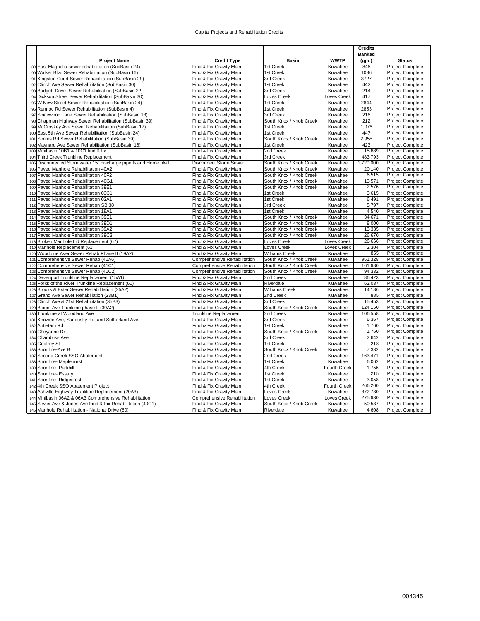#### Capital Projects and Rehabilitation Credits

|                                                                                    |                                                              |                                                    |                    | <b>Credits</b> |                                      |
|------------------------------------------------------------------------------------|--------------------------------------------------------------|----------------------------------------------------|--------------------|----------------|--------------------------------------|
|                                                                                    |                                                              |                                                    |                    | <b>Banked</b>  |                                      |
| <b>Project Name</b>                                                                | <b>Credit Type</b>                                           | <b>Basin</b>                                       | <b>WWTP</b>        | (gpd)          | <b>Status</b>                        |
| 89 East Magnolia sewer rehabilitation (SubBasin 24)                                | Find & Fix Gravity Main                                      | 1st Creek                                          | Kuwahee            | 846            | <b>Project Complete</b>              |
| 90 Walker Blvd Sewer Rehabilitation (SubBasin 16)                                  | Find & Fix Gravity Main                                      | 1st Creek                                          | Kuwahee            | 1086           | Project Complete                     |
| 91 Kingston Court Sewer Rehabilitation (SubBasin 29)                               | Find & Fix Gravity Main                                      | 3rd Creek                                          | Kuwahee            | 3727           | <b>Project Complete</b>              |
| 92 Clinch Ave Sewer Rehabilitation (SubBasin 30)                                   | Find & Fix Gravity Main                                      | 1st Creek                                          | Kuwahee            | 442            | Project Complete                     |
| 93 Badgett Drive Sewer Rehabilitation (SubBasin 22)                                | Find & Fix Gravity Main                                      | 3rd Creek                                          | Kuwahee            | 214            | Project Complete                     |
| 94 Dickson Street Sewer Rehabilitation (SubBasin 20)                               | Find & Fix Gravity Main                                      | <b>Loves Creek</b>                                 | Loves Creek        | 417            | Project Complete                     |
| 95 W New Street Sewer Rehabilitation (SubBasin 24)                                 | Find & Fix Gravity Main                                      | 1st Creek                                          | Kuwahee            | 2844           | Project Complete                     |
| 96 Rennoc Rd Sewer Rehabilitation (SubBasin 4)                                     | Find & Fix Gravity Main                                      | 1st Creek                                          | Kuwahee            | 2853           | Project Complete                     |
| 97 Spicewood Lane Sewer Rehabilitation (SubBasin 13)                               | Find & Fix Gravity Main                                      | 3rd Creek                                          | Kuwahee            | 216            | Project Complete                     |
| 98 Chapman Highway Sewer Rehabilitation (SubBasin 39)                              | Find & Fix Gravity Main                                      | South Knox / Knob Creek                            | Kuwahee            | 212            | Project Complete                     |
| 99 McCroskey Ave Sewer Rehabilitation (SubBasin 17)                                | Find & Fix Gravity Main                                      | 1st Creek                                          | Kuwahee            | 1,076          | Project Complete                     |
| 100 East 5th Ave Sewer Rehabilitation (SubBasin 24)                                | Find & Fix Gravity Main                                      | 1st Creek                                          | Kuwahee            | 447            | Project Complete                     |
| 101 Simms Rd Sewer Rehabilitation (SubBasin 39)                                    | Find & Fix Gravity Main                                      | South Knox / Knob Creek                            | Kuwahee            | 2,955          | <b>Project Complete</b>              |
| 102 Maynard Ave Sewer Rehabilitation (SubBasin 16)                                 | Find & Fix Gravity Main                                      | 1st Creek                                          | Kuwahee            | 423            | <b>Project Complete</b>              |
| 103 Minibasin 10B1 & 10C1 find & fix                                               | Find & Fix Gravity Main                                      | 2nd Creek                                          | Kuwahee            | 15,689         | Project Complete                     |
| 104 Third Creek Trunkline Replacement                                              | Find & Fix Gravity Main                                      | 3rd Creek                                          | Kuwahee            | 483,793        | <b>Project Complete</b>              |
| 105 Disconnected Stormwater 15" discharge pipe Island Home blvd                    | <b>Disconnect Storm Sewer</b>                                | South Knox / Knob Creek                            | Kuwahee            | 1,720,000      | Project Complete                     |
| 106 Paved Manhole Rehabilitation 40A2                                              | Find & Fix Gravity Main                                      | South Knox / Knob Creek                            | Kuwahee            | 20,140         | Project Complete                     |
| 107 Paved Manhole Rehabilitation 40F2                                              | Find & Fix Gravity Main                                      | South Knox / Knob Creek                            | Kuwahee            | 6,515          | Project Complete                     |
| 108 Paved Manhole Rehabilitation 40G1                                              | Find & Fix Gravity Main                                      | South Knox / Knob Creek                            | Kuwahee            | 13,571         | Project Complete                     |
| 109 Paved Manhole Rehabilitation 39E1                                              | Find & Fix Gravity Main                                      | South Knox / Knob Creek                            | Kuwahee            | 2,576          | <b>Project Complete</b>              |
| 110 Paved Manhole Rehabilitation 03C1                                              | Find & Fix Gravity Main                                      | 1st Creek                                          | Kuwahee            | 3,615          | Project Complete                     |
| 111 Paved Manhole Rehabilitation 02A1                                              | Find & Fix Gravity Main                                      | 1st Creek                                          | Kuwahee            | 6,491          | Project Complete                     |
| 112 Paved Manhole Rehabilitation SB 38                                             | Find & Fix Gravity Main                                      | 3rd Creek                                          | Kuwahee            | 5,797          | Project Complete                     |
| 113 Paved Manhole Rehabilitation 18A1                                              | Find & Fix Gravity Main                                      | 1st Creek                                          | Kuwahee            | 4,540          | Project Complete                     |
| 114 Paved Manhole Rehabilitation 39E1                                              | Find & Fix Gravity Main                                      | South Knox / Knob Creek                            | Kuwahee            | 34,671         | Project Complete                     |
| 115 Paved Manhole Rehabilitation 39D1                                              | Find & Fix Gravity Main                                      | South Knox / Knob Creek                            | Kuwahee            | 8,000          | <b>Project Complete</b>              |
| 116 Paved Manhole Rehabilitation 39A2                                              | Find & Fix Gravity Main                                      | South Knox / Knob Creek                            | Kuwahee            | 13,335         | Project Complete                     |
| 117 Paved Manhole Rehabilitation 39C3                                              | Find & Fix Gravity Main                                      | South Knox / Knob Creek                            | Kuwahee            | 26,670         | Project Complete                     |
| 118 Broken Manhole Lid Replacement (67)                                            | Find & Fix Gravity Main                                      | <b>Loves Creek</b>                                 | <b>Loves Creek</b> | 26,666         | <b>Project Complete</b>              |
| 119 Manhole Replacement (61                                                        | Find & Fix Gravity Main                                      | <b>Loves Creek</b>                                 | <b>Loves Creek</b> | 2,304<br>855   | <b>Project Complete</b>              |
| 120 Woodbine Aver Sewer Rehab Phase II (19A2)                                      | Find & Fix Gravity Main                                      | <b>Williams Creek</b>                              | Kuwahee            | 951,328        | Project Complete                     |
| 121 Comprehensive Sewer Rehab (41A6)                                               | Comprehensive Rehabilitation                                 | South Knox / Knob Creek<br>South Knox / Knob Creek | Kuwahee<br>Kuwahee | 161,680        | Project Complete<br>Project Complete |
| 122 Comprehensive Sewer Rehab (41C1)                                               | Comprehensive Rehabilitation<br>Comprehensive Rehabilitation | South Knox / Knob Creek                            | Kuwahee            | 94,332         | Project Complete                     |
| 123 Comprehensive Sewer Rehab (41C2)<br>124 Davenport Trunkline Replacement (15A1) | Find & Fix Gravity Main                                      | 2nd Creek                                          | Kuwahee            | 86,423         | Project Complete                     |
| 125 Forks of the River Trunkline Replacement (60)                                  | Find & Fix Gravity Main                                      | Riverdale                                          | Kuwahee            | 62,037         |                                      |
| 126 Brooks & Ester Sewer Rehabilitation (25A2)                                     | Find & Fix Gravity Main                                      | <b>Williams Creek</b>                              | Kuwahee            | 14,186         | Project Complete<br>Project Complete |
| 127 Grand Ave Sewer Rehabiliation (23B1)                                           | Find & Fix Gravity Main                                      | 2nd Creek                                          | Kuwahee            | 885            | Project Complete                     |
| 128 Clinch Ave & 21st Rehabilitation (35B3)                                        | Find & Fix Gravity Main                                      | 3rd Creek                                          | Kuwahee            | 15,453         | Project Complete                     |
| 129 Blount Ave Trunkline phase II (39A2)                                           | Find & Fix Gravity Main                                      | South Knox / Knob Creek                            | Kuwahee            | 124.150        | <b>Project Complete</b>              |
| 130 Trunkline at Woodland Ave                                                      | <b>Trunkline Replacement</b>                                 | 2nd Creek                                          | Kuwahee            | 106,558        | Project Complete                     |
| 131 Keowee Ave, Sandusky Rd, and Sutherland Ave                                    | Find & Fix Gravity Main                                      | 3rd Creek                                          | Kuwahee            | 6,367          | Project Complete                     |
| 132 Antietam Rd                                                                    | Find & Fix Gravity Main                                      | 1st Creek                                          | Kuwahee            | 1,760          | Project Complete                     |
| 133 Cheyanne Dr                                                                    | Find & Fix Gravity Main                                      | South Knox / Knob Creek                            | Kuwahee            | 1,760          | Project Complete                     |
| 134 Chambliss Ave                                                                  | Find & Fix Gravity Main                                      | 3rd Creek                                          | Kuwahee            | 2,642          | Project Complete                     |
| 135 Godfrey St                                                                     | Find & Fix Gravity Main                                      | 1st Creek                                          | Kuwahee            | 218            | Project Complete                     |
| 136 Shortline-Ave B                                                                | Find & Fix Gravity Main                                      | South Knox / Knob Creek                            | Kuwahee            | 7,332          | <b>Project Complete</b>              |
| 137 Second Creek SSO Abatement                                                     | Find & Fix Gravity Main                                      | 2nd Creek                                          | Kuwahee            | 163,471        | Project Complete                     |
| 138 Shortline- Maplehurst                                                          | Find & Fix Gravity Main                                      | 1st Creek                                          | Kuwahee            | 6,062          | <b>Project Complete</b>              |
| 139 Shortline- Parkhill                                                            | Find & Fix Gravity Main                                      | 4th Creek                                          | Fourth Creek       | 1,755          | Project Complete                     |
| 140 Shortline- Essary                                                              | Find & Fix Gravity Main                                      | 1st Creek                                          | Kuwahee            | 215            | Project Complete                     |
| 141 Shortline-Ridgecrest                                                           | Find & Fix Gravity Main                                      | 1st Creek                                          | Kuwahee            | 3,058          | Project Complete                     |
| 142 4th Creek SSO Abatement Project                                                | Find & Fix Gravity Main                                      | 4th Creek                                          | Fourth Creek       | 266,200        | Project Complete                     |
| 143 Ashville Highway Trunkline Replacement (20A3)                                  | Find & Fix Gravity Main                                      | Loves Creek                                        | Kuwahee            | 372,780        | Project Complete                     |
| 144 Minibasin 06A2 & 06A3 Comprehensive Rehabilitation                             | Comprehensive Rehabilitation                                 | <b>Loves Creek</b>                                 | Loves Creek        | 275,630        | Project Complete                     |
| 145 Sevier Ave & Jones Ave Find & Fix Rehabilitation (40C1)                        | Find & Fix Gravity Main                                      | South Knox / Knob Creek                            | Kuwahee            | 50,537         | <b>Project Complete</b>              |
| 146 Manhole Rehabilitation - National Drive (60)                                   | Find & Fix Gravity Main                                      | Riverdale                                          | Kuwahee            | 4.608          | <b>Project Complete</b>              |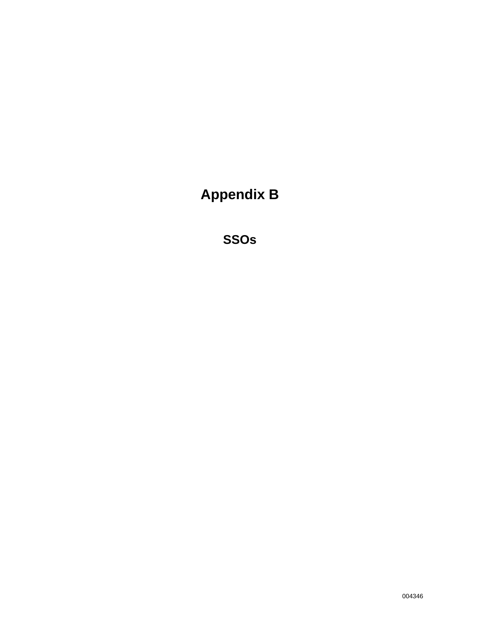**Appendix B** 

**SSOs**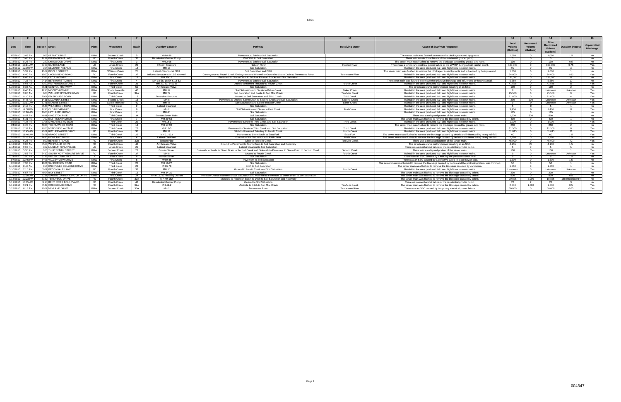#### SSOs

|                    |                     |                                  | 5          |                       | $\mathbf{z}$            |                                   |                                                                                                          |                        |                                                                                                            | 12                                  |                                  | 14                                       |                        |                                        |
|--------------------|---------------------|----------------------------------|------------|-----------------------|-------------------------|-----------------------------------|----------------------------------------------------------------------------------------------------------|------------------------|------------------------------------------------------------------------------------------------------------|-------------------------------------|----------------------------------|------------------------------------------|------------------------|----------------------------------------|
| Date               | Time                | Street # Street                  |            | Watershed             | Rasi                    | <b>Overflow Location</b>          | Pathway                                                                                                  | <b>Receiving Water</b> | <b>Cause of SSO/KUB Response</b>                                                                           | <b>Total</b><br>Volume<br>(Gallons) | Recovered<br>Volume<br>(Gallons) | Non-<br>Recovered<br>Volume<br>(Gallons) | <b>Duration (Hours</b> | <b>Unpermitted</b><br><b>Discharge</b> |
|                    | 1/6/2010 3:45 PM    | 905 KERMIT DRIVE                 | KUW        | Second Creek          |                         | MH 4-36                           | Pavement to Ditch to Soil Saturation                                                                     |                        | The sewer main was flushed to remove the blockage caused by grease.                                        | 1.080                               |                                  | 1.080                                    |                        | No                                     |
|                    | 1/18/2010 3:45 PM   | 1712 POLKWRIGHT LANE             | EC.        | Fourth Creek          | 37                      | <b>Residential Grinder Pump</b>   | Wet Well to Soil Saturation                                                                              |                        | There was an electrical failure of the residential grinder pump.                                           | - 5                                 |                                  | - 5                                      |                        | No                                     |
| 1/18/2010 8:26 PM  |                     | 229 LYNNWOOD DRIVE               | KUW        | <b>First Creek</b>    | $\overline{\mathbf{3}}$ | MH 2-98                           | Payement to Ditch to Soil Saturation                                                                     |                        | The sewer main was flushed to remove the blockage caused by grease and roots                               | 130                                 |                                  | 130                                      | 0.5                    | No                                     |
| 1/24/2010          | $10.11$ AM          | 5760 SANDIS LANE                 |            | Loves Creek           | 20                      | Influent Structure                | <b>Holston River</b>                                                                                     | <b>Holston River</b>   | There was a temporary electrical power failure at the WWTP during a high rainfall event.                   | 190.000                             |                                  | 190.000                                  | 0.75                   | Yes                                    |
| 1/24/2010 12:09 PM |                     | 304 SEVENTH AVENUE               | KUW        | <b>First Creek</b>    | 18                      | MH 15                             | Soil Saturation                                                                                          |                        | Rainfall in the area produced L& Land high flows in sewer mains                                            | 90                                  |                                  | 90                                       | $\mathbf{r}$           | No                                     |
| 1/24/2010          | 5:32 PM             | 1109 BIDDLE STREET               | KUW        | <b>Williams Creek</b> | 25                      | Lateral Cleanout & BBL            | Soil Saturation and BBI                                                                                  |                        | The sewer main was flushed to remove the blockage caused by roots and influenced by heavy rainfall.        | 1.000                               |                                  | 1.000                                    |                        | No                                     |
| 1/24/2010          | 6:40 PM             | 1500 LYONS BEND ROAD             |            | Fourth Creek          |                         | Influent Structure & MLSS Wetwell | Convevance to Fourth Creek Embayment and Wetwell to Ground to Storm Drain to Tennessee River             | <b>Tennessee River</b> | Rainfall in the area produced   &   and high flows in sewer mains                                          | 74,000                              |                                  | 74.000                                   | 1.62                   | Yes                                    |
| 1/24/2010          | 6:46 PM             | 2536 CECIL AVENUE                | KIM        | <b>First Creek</b>    | 18                      | MH 30-11                          | Payement to Storm Drain to Ditch at Railroad Tracks and Soil Saturation                                  |                        | Rainfall in the area produced   &   and high flows in sewer mains.                                         | 138.060                             |                                  | 138.060                                  | - 8                    | <b>No</b>                              |
|                    | 1/24/2010 7:33 PM   | 2414 BERNHURST DRIVE             | KUW        | <b>First Creek</b>    | $\overline{4}$          | MH 18-58, 18-54 & 18-53           | Payement to Ditch to Soil Saturation                                                                     |                        | The sewer main was flushed to remove the unknown blockage and influenced by heavy rainfall.                | 5.550                               |                                  | 5.550                                    | 10                     | No                                     |
| 1/25/2010          | 8:08 AM             | 7100 ROTHERWOOD DRIVE            |            | Fourth Creek          | 36                      | MH 32, 33, 34 & 36                | Ditch to Unnamed Tributary to Fourth Creek                                                               | Fourth Creek           | Rainfall in the area produced I & I and high flows in sewer mains                                          | 41.575                              |                                  | 41.575                                   | ີາຂ                    | Yes                                    |
| 1/25/2010 8:33 AM  |                     | 6621 CLINTON HIGHWAY             | KUW        | <b>Third Creek</b>    | 50                      | Air Release Valve                 | Soil Saturation                                                                                          |                        | The air release valve malfunctioned resulting in an SSO.                                                   | 190                                 |                                  | 190                                      | $\overline{2}$         | No.                                    |
| 1/25/2010          | 8:40 AM             | 1210 MOODY AVENUE                | KUW        | South Knoxville       | 40                      | MH 39                             | Soil Saturation and Swale to Baker Creek                                                                 | <b>Baker Creek</b>     | Rainfall in the area produced   &   and high flows in sewer mains.                                         |                                     |                                  | Unknown                                  | Unknown                | Yes                                    |
| 1/25/2010          | 9:05 AM             | 608 WALKER SPRINGS ROAD          |            | Fourth Creek          | 32A                     | <b>MH 77</b>                      | Soil Saturation and Swale to Ten Mile Creek                                                              | Ten Mile Creek         | Rainfall in the area produced   &   and high flows in sewer mains                                          | 95.580                              |                                  | 95.580                                   |                        | Yes                                    |
| 1/25/2010          | $9.10 \text{ AM}$   | 2004 ED SHOUSE ROAD              | KUW        | <b>Third Creek</b>    | 13                      | <b>Diversion Structure</b>        | Ground to Soil Saturation and Third Creek                                                                | <b>Third Creek</b>     | Rainfall in the area produced   &   and high flows in sewer mains                                          | 21.600                              |                                  | 21.600                                   | $\overline{A}$         | Yes                                    |
|                    | 1/25/2010 9:45 AM   | 1411 DAVANNA STREET              | KUW        | Second Creek          | 15                      | MH 8                              | Payement to Ditch to Storm Drain to Second Creek and Soil Saturation                                     | Second Creek           | Rainfall in the area produced   &   and high flows in sewer mains                                          | 200                                 | 200                              | Unknown                                  | Unknown                | Yes                                    |
| 1/25/2010          | 10:11 AM            | 3741 FAKERS STREET               | KUW        | South Knoxville       | 40                      | MH 47                             | Soil Saturation and Swale to Baker Creek                                                                 | <b>Baker Creek</b>     | Rainfall in the area produced I & I and high flows in sewer mains.                                         |                                     |                                  | Unknown                                  | Unknown                | Yes                                    |
| 1/25/2010          | 2:15 PM             | 5546 WILKERSON ROAD              | KUW        | <b>Third Creek</b>    | <b>Q</b>                | Lateral Cleanout                  | Soil Saturation                                                                                          |                        | Rainfall in the area produced   &   and high flows in sewer mains                                          | - 5                                 |                                  | - 5                                      |                        | No                                     |
|                    | 1/26/2010 12:38 PM  | 4713 OLD BROADWAY                | KUW        | <b>First Creek</b>    | 8                       | MH 2                              | Soil Saturation and Swale to First Creek                                                                 | <b>First Creek</b>     | Rainfall in the area produced   &   and high flows in sewer mains                                          | 3.400                               |                                  | 3.400                                    | 12                     | Yes                                    |
| 1/27/2010          | $10.16 \text{ A}$ M | 4600 UPCHURCH ROAD               | KUW        | <b>First Creek</b>    |                         | MH 45                             | Soil Saturation                                                                                          |                        | Rainfall in the area produced   &   and high flows in sewer mains                                          | 105                                 |                                  | 105                                      |                        | No                                     |
|                    | 1/27/2010 9:57 PM   | 4611 KINGSTON PIKE               | KUW        | <b>Third Creek</b>    | 34                      | Broken Sewer Main                 | Soil Saturation                                                                                          |                        | There was a collapsed portion of the sewer main.                                                           | 1.000                               | 500                              | 500                                      |                        | No                                     |
| 1/28/2010          | 5:31 PM             | 702 FAST INSKIP DRIVE            | KUW        | <b>First Creek</b>    | $\overline{7}$          | MH 29-63                          | Soil Saturation                                                                                          |                        | The sewer main was flushed to remove the blockage caused by debris                                         | 410                                 |                                  | 410                                      |                        | <b>No</b>                              |
| 2/2/2010           | 4:28 PM             | 2706 MYNDERSE AVENUE             | KUW        | <b>Third Creek</b>    | 22                      | MH 18-3                           | Pavement to Swale to Third Creek and Soil Saturation                                                     | <b>Third Creek</b>     | Rainfall in the area produced I & I and high flows in sewer mains.                                         | 1.000                               |                                  | 1.000                                    |                        | Yes                                    |
| 2/4/2010           | 6:25 PM             | 4025 THORNWOOD ROAD              | KUW        | <b>Third Creek</b>    | $-13$                   | MH 17-92                          | Soil Saturation                                                                                          |                        | The sewer main was flushed to remove the blockage caused by grease and roots                               | 250                                 |                                  | 250                                      |                        | No                                     |
| 2/5/2010           | 7:32 AM             | 2706 MYNDERSE AVENUE             | KUW        | <b>Third Creek</b>    | 22                      | MH 18-3                           | Payement to Swale to Third Creek and Soil Saturation                                                     | <b>Third Creek</b>     | Rainfall in the area produced   &   and high flows in sewer mains.                                         | 11.500                              |                                  | 11.500                                   |                        | Yes                                    |
| 2/5/2010           | $10:45 \text{ AU}$  | 7104 ROTHERWOOD DRIVE            |            | Fourth Creek          | 36                      | MH 34                             | Ditch to Unnamed Tributary to Fourth Creek                                                               | Fourth Creek           | Rainfall in the area produced   &   and high flows in sewer mains.                                         | 51.015                              |                                  | 51.015                                   |                        | Yes                                    |
|                    | 2/5/2010 11:46 AM   | 2621 BRAGG STREET                | KUW        | <b>Third Creek</b>    | 22                      | MH 21-123                         | Pavement to Storm Drain to East Fork                                                                     | East Fork              | The sewer main was flushed to remove the blockage caused by debris and influenced by heavy rainfall.       | 60                                  |                                  | 60                                       | 1.5                    | Yes                                    |
| 2/5/2010           | 5:15 PM             | 2430 HIGHLAND DRIVE              | KIM        | <b>First Creek</b>    | $\overline{4}$          | <b>Lateral Cleanout</b>           | Ground to Soil Saturation and First Creek                                                                | <b>First Creek</b>     | The sewer main was flushed to remove the blockage caused by debris and influenced by heavy rainfall.       | 2.290                               |                                  | 2.290                                    | 1.5                    | Yes                                    |
|                    | 2/10/2010 6:25 PM   | 800 BENNETT PLACE                |            | Fourth Creek          | 32B                     | <b>Broken Pipe</b>                | Ditch to Ten Mile Creek                                                                                  | Ten Mile Creek         | There was a collapsed portion of the sewer main.                                                           | 45,900                              |                                  | 45,900                                   |                        | Yes                                    |
| 2/12/2010          | $9:00$ AM           | 8560 WESTLAND DRIVE              |            | <b>Fourth Creek</b>   | 42                      | Air Release Valve                 | Ground to Pavement to Storm Drain to Soil Saturation and Recovery                                        |                        | The air release valve malfunctioned resulting in an SSO.                                                   | 4.155                               | - 25                             | 4.130                                    | 1.5                    | No                                     |
| 2/14/2010          | $9:05$ PM           | 302 LINGBURTON AVENUE            |            | <b>Loves Creek</b>    | - 20                    | Lateral Cleanout                  | Lateral Cleanout to Soil Saturation                                                                      |                        | There was a mechanical failure of the residential grinder pump.                                            | - 5                                 |                                  | -5                                       |                        | No                                     |
| 2/15/2010          | 5:35 PM             | 100 THIRTFFNTH STRFFT            | KUW        | Second Creek          | - 23                    | <b>Broken Sewer</b>               | Sidewalk to Swale to Storm Drain to Second Creek and Sidewalk to Pavement to Storm Drain to Second Creek | Second Creek           | There was a collapsed portion of the sewer main.                                                           | 100                                 |                                  | 100                                      |                        | Yes                                    |
| 2/19/2010          | 2:55 PM             | 6410 SOUTH NORTHSHORE DRIVE      |            | Fourth Creek          | - 37                    | MH 8                              | Ground to Fourth Creek                                                                                   | Fourth Creek           | Rainfall in the area produced I & I and high flows in sewer mains.                                         |                                     |                                  | Unknown                                  | Unknown                | Yes                                    |
| 2/21/2010          | $2.50$ PM           | 5713 MILLERTOWN PIKE             |            | <b>Loves Creek</b>    | - 6                     | <b>Broken Sewer</b>               | Soil Saturation                                                                                          |                        | There was an SSO caused by a leaking low pressure sewer pipe                                               | - 5                                 |                                  | - 5                                      | 15                     | No.                                    |
|                    | 3/7/2010 12:45 PM   | 3403 VALLEY VIEW DRIVE           | KUW        | <b>First Creek</b>    | - 8                     | MH 9-86                           | Pavement to Soil Saturation                                                                              |                        | There was an SSO caused by a defective cured-in-place sewer pipe.                                          | 1.590                               |                                  | 1.590                                    | 15                     | No                                     |
| 3/8/2010           | 7:30 PM             | 1904 SANDERSON ROAD              | KUW        | <b>Third Creek</b>    | 28                      | MH 16-27                          | Soil Saturation                                                                                          |                        | The sewer main was flushed to remove the blockage caused by debris and the protruding lateral was trimmed. | 50                                  |                                  | 50                                       |                        | No                                     |
| 3/10/2010          | $R:45$ AM           | 955 KNOXVILLE COLLEGE DRIVE      | KUW        | <b>Third Creek</b>    | 22                      | MH 6-78                           | Ditch to Soil Saturation                                                                                 |                        | The sewer main was flushed to remove the blockage casused by vandalism                                     | 1.250                               |                                  | 1.250                                    |                        | No                                     |
| 3/10/2010          | 2:15 PM             | 6024 BROOKVALE LANE              |            | <b>Fourth Creek</b>   | 33                      | MH 15                             | Ground to Fourth Creek and Soil Saturation                                                               | <b>Fourth Creek</b>    | Rainfall in the area produced I & I and high flows in sewer mains.                                         | Unknown                             |                                  | Unknown                                  | Unknown                | Yes                                    |
| 3/12/2010          | 6:57 PM             | 4804 BAY STREET                  | <b>KUW</b> | <b>Third Creek</b>    | 13                      | MH 34-31                          | Soil Saturation                                                                                          |                        | The sewer main was flushed to remove the blockage caused by debris.                                        | 230                                 |                                  | 230                                      |                        | No                                     |
| 3/17/2010 10:00 AM |                     | 2217 MARTIN LUTHER KING JR DRIVE | KUW        | <b>First Creek</b>    | 24                      | MH 6-152 & Privately Owned        | Privately Owned Manhole to Soil Saturation and Manhole to Payement to Storm Drain to Soil Saturation     |                        | The sewer main was flushed to remove the blockage caused by debris.                                        | 530                                 |                                  | 530                                      | 0.5                    | N <sub>0</sub>                         |
|                    | 3/18/2010 12:23 PM  | 5732 TENNYSON DRIVE              |            | Fourth Creek          | 32A                     | MH 49-182                         | Manhole to Retention Basin to Ditch to Soil Saturation and Recovery                                      |                        | The sewer main was flushed to remove the blockage caused by debris                                         | 20.825                              | 2.000                            | 18.825                                   | 168 Intermittent       | No                                     |
| 3/19/2010          | 10:05 AM            | 5218 BENT RIVER BOULEVARD        | FC.        | Fourth Creek          | 43                      | <b>Residential Grinder Pump</b>   | Wetwell to Soil Saturation                                                                               |                        | There was a mechanical failure of the residential grinder pump.                                            | 22                                  |                                  | - 20                                     |                        | No                                     |
|                    | 3/19/2010 9:21 PM   | 6549 CREEKHEAD DRIVI             | FC.        | Fourth Creek          | 32A                     | MH 49-2                           | Manhole to Ditch to Ten Mile Creek                                                                       | Ten Mile Creek         | The sewer main was flushed to remove the blockage caused by debris                                         | 2.030                               | 1.000                            | 1.030                                    | 0.5                    | Yes                                    |
|                    | 3/23/2010 8:18 AM   | 2004 NEYLAND DRIVE               | KUW        | Second Creek          | 35A                     | MH <sub>1</sub>                   | <b>Tennessee River</b>                                                                                   | <b>Tennessee River</b> | There was an SSO caused by temporary electrical power failure                                              | 50.000                              |                                  | 50.000                                   | 0.05                   | Yes                                    |
|                    |                     |                                  |            |                       |                         |                                   |                                                                                                          |                        |                                                                                                            |                                     |                                  |                                          |                        |                                        |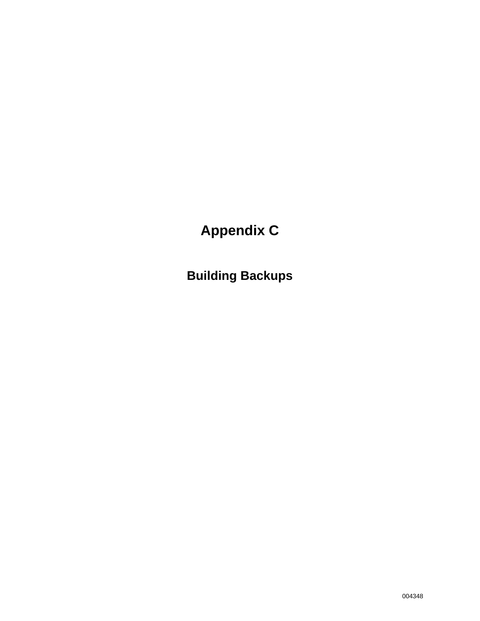# **Appendix C**

**Building Backups**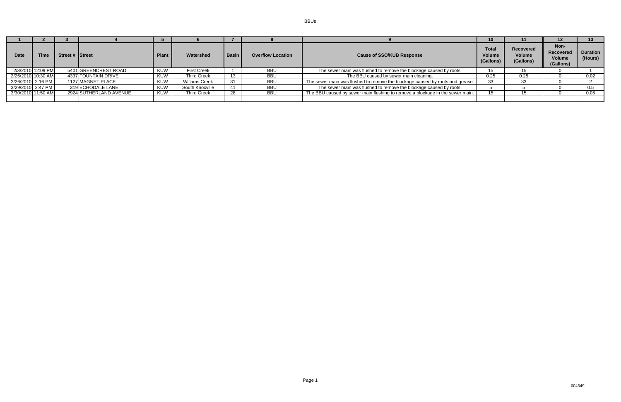BBUs

| <b>Date</b>        | <b>Time</b>       | Street # Street |                        | <b>Plant</b> | Watershed          | <b>Basin</b> | <b>Overflow Location</b> | <b>Volume</b><br><b>Cause of SSO/KUB Response</b><br>(Gallons)                |      | Recovered<br>Volume<br>(Gallons) | Non-<br>Recovered<br>Volume<br>(Gallons) | <b>Duration</b><br>(Hours) |
|--------------------|-------------------|-----------------|------------------------|--------------|--------------------|--------------|--------------------------|-------------------------------------------------------------------------------|------|----------------------------------|------------------------------------------|----------------------------|
|                    | 2/3/2010 12:09 PM |                 | 5401 GREENCREST ROAD   | <b>KUW</b>   | <b>First Creek</b> |              | <b>BBU</b>               | The sewer main was flushed to remove the blockage caused by roots.            |      |                                  |                                          |                            |
| 2/26/2010 10:30 AM |                   |                 | 4337 FOUNTAIN DRIVE    | <b>KUW</b>   | <b>Third Creek</b> | 13           | <b>BBU</b>               | The BBU caused by sewer main cleaning.                                        | 0.25 | 0.25                             |                                          | 0.02                       |
| 2/26/2010 2:16 PM  |                   |                 | 1127 MAGNET PLACE      | <b>KUW</b>   | Willams Creek      | 31           | <b>BBU</b>               | The sewer main was flushed to remove the blockage caused by roots and grease. | 33   |                                  |                                          |                            |
| 3/29/2010 2:47 PM  |                   |                 | 319 ECHODALE LANE      | <b>KUW</b>   | South Knoxville    | 41           | <b>BBU</b>               | The sewer main was flushed to remove the blockage caused by roots.            |      |                                  |                                          |                            |
| 3/30/2010 11:50 AM |                   |                 | 2924 SUTHERLAND AVENUE | <b>KUW</b>   | <b>Third Creek</b> | 28           | <b>BBU</b>               | The BBU caused by sewer main flushing to remove a blockage in the sewer main. |      |                                  |                                          | 0.05                       |
|                    |                   |                 |                        |              |                    |              |                          |                                                                               |      |                                  |                                          |                            |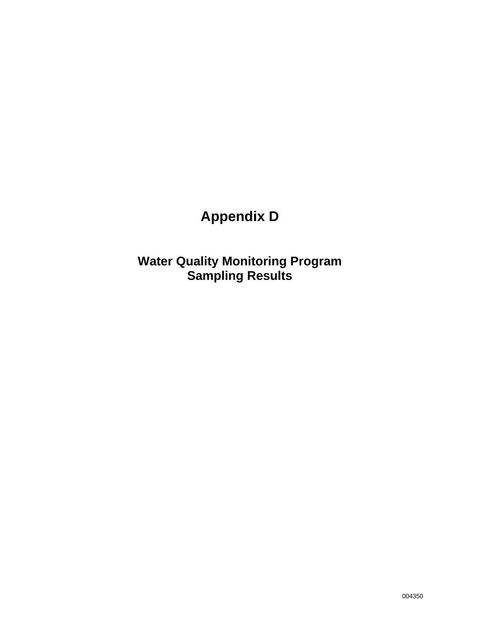# **Appendix D**

**Water Quality Monitoring Program Sampling Results**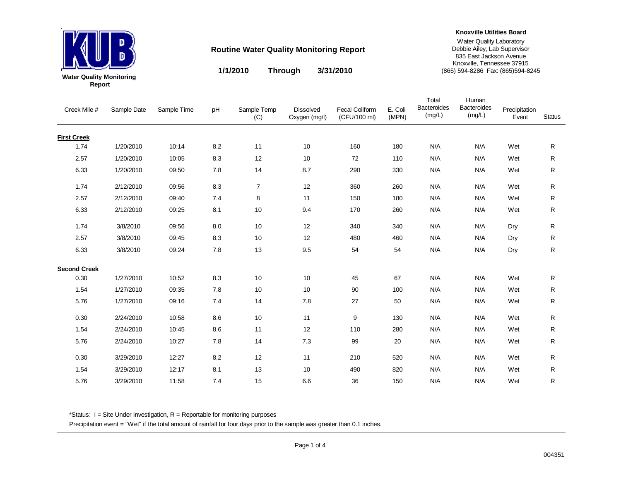

**1/1/2010 3/31/2010 Through**

**Knoxville Utilities Board**

#### Water Quality Laboratory Debbie Ailey, Lab Supervisor 835 East Jackson AvenueKnoxville, Tennessee 37915 (865) 594-8286 Fax: (865)594-8245

Creek Mile # Sample Date Sample Time pH Sample Temp (C) Dissolved Oxygen (mg/l) Fecal Coliform (CFU/100 ml) E. Coli (MPN) Precipitation Event**Status** Total **Bacteroides** (mg/L) Human **Bacteroides** (mg/L) **First Creek** 1.74 1/20/2010 10:14 8.2 11 10 160 180 N/AN/A Wet R 2.57 1/20/2010 10:05 8.3 12 10 72 110 N/AN/A Wet R 6.33 1/20/2010 09:50 7.8 14 8.7 290 330 N/AN/A Wet R 1.74 2/12/2010 09:56 8.3 7 12 360 260 N/AN/A Wet R 2.57 2/12/2010 09:400 7.4 8 11 150 180 N/A N/A Wet R 6.33 2/12/2010 09:25 8.1 10 9.4 170 260 N/AN/A Wet R 1.74 3/8/2010 09:56 8.0 10 12 340 340 N/A'A N/A Dry R 2.57 3/8/2010 09:45 8.3 10 12 480 460 N/A'A N/A Dry R 6.33 3/8/2010 09:24 7.8 13 9.5 54 54 N/A'A N/A Dry R **Second Creek**0.30 1/27/2010 10:52 8.3 10 10 45 67 N/AN/A Wet  ${\sf R}$ 1.54 1/27/2010 09:35 7.8 10 10 90 100 N/AN/A Wet  $\mathsf{R}$ 5.76 1/27/2010 09:16 7.4 14 7.8 27 50 N/AN/A Wet  ${\sf R}$ 0.30 2/24/2010 10:58 8.6 10 11 9 130 N/AN/A Wet  ${\sf R}$ 1.54 2/24/2010 10:45 8.6 11 12 110 280 N/AN/A Wet R 5.76 2/24/2010 10:27 7.8 14 7.3 99 20 N/AN/A Wet  ${\sf R}$ 0.30 3/29/2010 12:27 8.2 12 11 210 520 N/AN/A Wet R 1.54 3/29/2010 12:17 8.1 13 10 490 820 N/AN/A Wet R 5.76 3/29/2010 11:58 7.4 15 6.6 36 150 N/AN/A Wet R

\*Status:  $I =$  Site Under Investigation,  $R =$  Reportable for monitoring purposes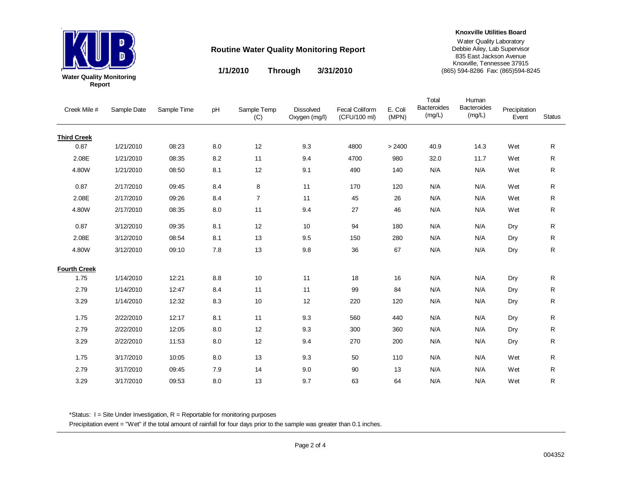

**Knoxville Utilities Board**

Water Quality Laboratory Debbie Ailey, Lab Supervisor 835 East Jackson Avenue Knoxville, Tennessee 37915 (865) 594-8286 Fax: (865)594-8245

**1/1/2010 3/31/2010Through**

| Creek Mile #        | Sample Date | Sample Time | pH  | Sample Temp<br>(C) | <b>Dissolved</b><br>Oxygen (mg/l) | <b>Fecal Coliform</b><br>(CFU/100 ml) | E. Coli<br>(MPN) | Total<br><b>Bacteroides</b><br>(mg/L) | Human<br>Bacteroides<br>(mg/L) | Precipitation<br>Event | <b>Status</b> |
|---------------------|-------------|-------------|-----|--------------------|-----------------------------------|---------------------------------------|------------------|---------------------------------------|--------------------------------|------------------------|---------------|
| <b>Third Creek</b>  |             |             |     |                    |                                   |                                       |                  |                                       |                                |                        |               |
| 0.87                | 1/21/2010   | 08:23       | 8.0 | 12                 | 9.3                               | 4800                                  | > 2400           | 40.9                                  | 14.3                           | Wet                    | R             |
| 2.08E               | 1/21/2010   | 08:35       | 8.2 | 11                 | 9.4                               | 4700                                  | 980              | 32.0                                  | 11.7                           | Wet                    | R             |
| 4.80W               | 1/21/2010   | 08:50       | 8.1 | 12                 | 9.1                               | 490                                   | 140              | N/A                                   | N/A                            | Wet                    | R             |
| 0.87                | 2/17/2010   | 09:45       | 8.4 | 8                  | 11                                | 170                                   | 120              | N/A                                   | N/A                            | Wet                    | R             |
| 2.08E               | 2/17/2010   | 09:26       | 8.4 | $\overline{7}$     | 11                                | 45                                    | 26               | N/A                                   | N/A                            | Wet                    | R             |
| 4.80W               | 2/17/2010   | 08:35       | 8.0 | 11                 | 9.4                               | 27                                    | 46               | N/A                                   | N/A                            | Wet                    | R             |
| 0.87                | 3/12/2010   | 09:35       | 8.1 | 12                 | 10                                | 94                                    | 180              | N/A                                   | N/A                            | Dry                    | R             |
| 2.08E               | 3/12/2010   | 08:54       | 8.1 | 13                 | 9.5                               | 150                                   | 280              | N/A                                   | N/A                            | Dry                    | R             |
| 4.80W               | 3/12/2010   | 09:10       | 7.8 | 13                 | 9.8                               | 36                                    | 67               | N/A                                   | N/A                            | Dry                    | R             |
| <b>Fourth Creek</b> |             |             |     |                    |                                   |                                       |                  |                                       |                                |                        |               |
| 1.75                | 1/14/2010   | 12:21       | 8.8 | 10                 | 11                                | 18                                    | 16               | N/A                                   | N/A                            | Dry                    | R             |
| 2.79                | 1/14/2010   | 12:47       | 8.4 | 11                 | 11                                | 99                                    | 84               | N/A                                   | N/A                            | Dry                    | R             |
| 3.29                | 1/14/2010   | 12:32       | 8.3 | 10                 | 12                                | 220                                   | 120              | N/A                                   | N/A                            | Dry                    | R             |
| 1.75                | 2/22/2010   | 12:17       | 8.1 | 11                 | 9.3                               | 560                                   | 440              | N/A                                   | N/A                            | Dry                    | R             |
| 2.79                | 2/22/2010   | 12:05       | 8.0 | 12                 | 9.3                               | 300                                   | 360              | N/A                                   | N/A                            | Dry                    | R             |
| 3.29                | 2/22/2010   | 11:53       | 8.0 | 12                 | 9.4                               | 270                                   | 200              | N/A                                   | N/A                            | Dry                    | R             |
| 1.75                | 3/17/2010   | 10:05       | 8.0 | 13                 | 9.3                               | 50                                    | 110              | N/A                                   | N/A                            | Wet                    | R             |
| 2.79                | 3/17/2010   | 09:45       | 7.9 | 14                 | 9.0                               | 90                                    | 13               | N/A                                   | N/A                            | Wet                    | R             |
| 3.29                | 3/17/2010   | 09:53       | 8.0 | 13                 | 9.7                               | 63                                    | 64               | N/A                                   | N/A                            | Wet                    | R.            |

\*Status:  $I =$  Site Under Investigation,  $R =$  Reportable for monitoring purposes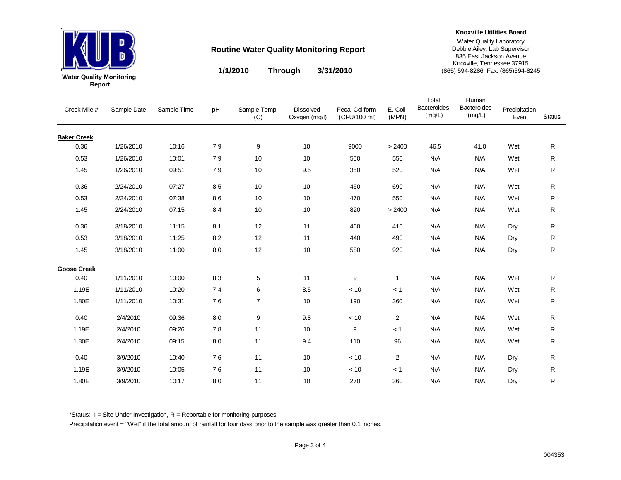

**1/1/2010 3/31/2010 Through**

**Knoxville Utilities Board**

#### Water Quality Laboratory Debbie Ailey, Lab Supervisor 835 East Jackson Avenue Knoxville, Tennessee 37915 (865) 594-8286 Fax: (865)594-8245

Creek Mile # Sample Date Sample Time pH Sample Temp (C) Dissolved Oxygen (mg/l) Fecal Coliform (CFU/100 ml) E. Coli (MPN) Precipitation Event**Status** Total **Bacteroides** (mg/L) Human **Bacteroides** (mg/L) **Baker Creek** 0.36 1/26/2010 10:16 7.9 9 10 9000 > 2400 46.5 41.0 Wet R0.53 1/26/2010 10:01 7.9 10 10 500 550 N/AN/A Wet R 1.45 1/26/2010 09:51 7.9 10 9.5 350 520 N/AN/A Wet R 0.36 2/24/2010 07:27 8.5 10 10 460 690 N/AN/A Wet R 0.53 2/24/2010 07:38 8.6 10 10 470 550 N/AN/A Wet R 1.45 2/24/2010 07:15 8.4 10 10 820 > 2400 N/AN/A Wet R 0.36 3/18/2010 11:15 8.1 12 11 460 410 N/A'A N/A Dry R 0.53 3/18/2010 11:25 8.2 12 11 440 490 N/A'A N/A Dry R 1.45 3/18/2010 11:00 8.0 12 10 580 920 N/A'A N/A Dry R **Goose Creek**0.40 1/11/2010 10:000 8.3 5 11 9 1 N/A N/A Wet  ${\sf R}$ 1.19E 1/11/2010 10:20 7.4 6 8.5 < 10 < 1 N/AN/A Wet  ${\sf R}$ 1.80E 1/11/2010 10:31 7.6 7 10 190 360 N/AN/A Wet  ${\sf R}$ 0.40 2/4/2010 09:36 8.0 9 9.8 < 10 2 N/AN/A Wet  ${\sf R}$ 1.19E 2/4/2010 09:26 7.8 11 10 9 < 1 N/AN/A Wet R 1.80E 2/4/2010 09:15 8.0 11 9.4 110 96 N/AN/A Wet  ${\sf R}$ 0.40 3/9/2010 10:40 7.6 11 10 < 10 2 N/A'A N/A Dry R 1.19E 3/9/2010 10:05 7.6 11 10 < 10 < 1 N/A'A N/A Dry R 1.80E 3/9/2010 10:17 8.0 11 10 270 360 N/A'A N/A Dry R

\*Status:  $I =$  Site Under Investigation,  $R =$  Reportable for monitoring purposes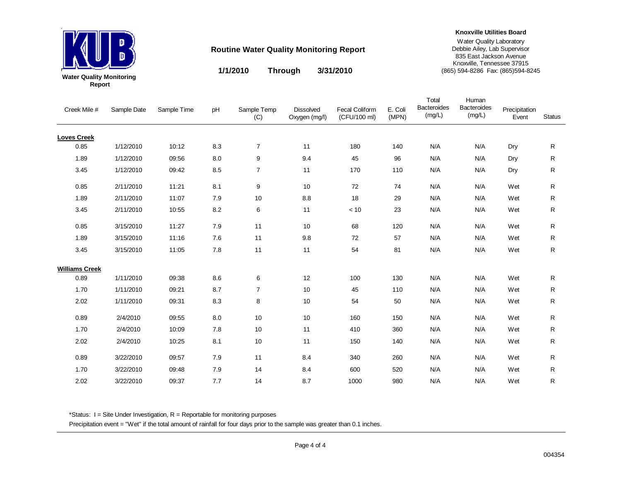

**1/1/2010 3/31/2010 Through**

**Knoxville Utilities Board**

#### Water Quality Laboratory Debbie Ailey, Lab Supervisor 835 East Jackson Avenue Knoxville, Tennessee 37915 (865) 594-8286 Fax: (865)594-8245

Creek Mile # Sample Date Sample Time pH Sample Temp (C) Dissolved Oxygen (mg/l) Fecal Coliform (CFU/100 ml) E. Coli (MPN) Precipitation Event**Status** Total **Bacteroides** (mg/L) Human **Bacteroides** (mg/L) **Loves Creek** 0.85 1/12/2010 10:12 8.3 7 11 180 140 N/A'A N/A Dry R 1.89 1/12/2010 09:56 8.0 9 9.4 45 96 N/A'A N/A Dry R 3.45 1/12/2010 09:42 8.5 7 11 170 110 N/A'A N/A Dry R 0.85 2/11/2010 11:21 8.1 9 10 72 74 N/AN/A Wet R 1.89 2/11/2010 11:07 7.9 10 8.8 18 29 N/AN/A Wet R 3.45 2/11/2010 10:55 8.2 6 11 < 10 23 N/AN/A Wet R 0.85 3/15/2010 11:27 7.9 11 10 68 120 N/AN/A Wet  $\mathsf{R}$ 1.89 3/15/2010 11:16 7.6 11 9.8 72 57 N/AN/A Wet R 3.45 3/15/2010 11:055 7.8 11 11 54 81 N/A N/A Wet  $\mathsf{R}$ **Williams Creek**0.89 1/11/2010 09:38 8.6 6 12 100 130 N/AN/A Wet  ${\sf R}$ 1.70 1/11/2010 09:21 8.7 7 10 45 110 N/AN/A Wet  ${\sf R}$ 2.02 1/11/2010 09:31 8.3 8 10 54 50 N/AN/A Wet  ${\sf R}$ 0.89 2/4/2010 09:55 8.0 10 10 160 150 N/AN/A Wet  ${\sf R}$ 1.70 2/4/2010 10:09 7.8 10 11 410 360 N/AN/A Wet R 2.02 2/4/2010 10:25 8.1 10 11 150 140 N/AN/A Wet  ${\sf R}$ 0.89 3/22/2010 09:57 7.9 11 8.4 340 260 N/AN/A Wet R 1.70 3/22/2010 09:48 7.9 14 8.4 600 520 N/AN/A Wet R 2.02 3/22/2010 09:37 7.7 14 8.7 1000 980 N/AN/A Wet R

\*Status:  $I =$  Site Under Investigation,  $R =$  Reportable for monitoring purposes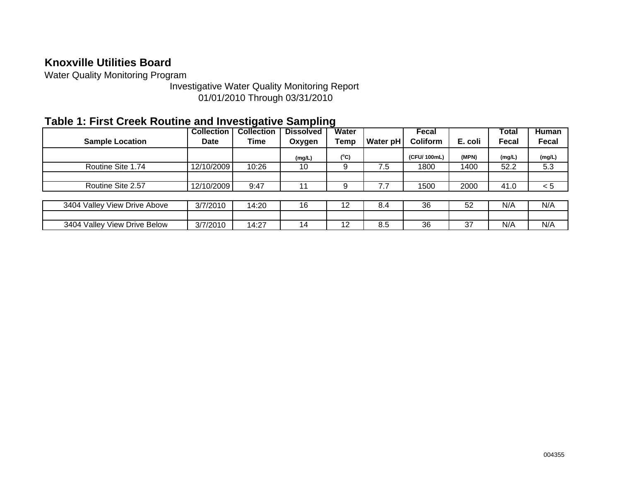Water Quality Monitoring Program

Investigative Water Quality Monitoring Report 01/01/2010 Through 03/31/2010

## **Table 1: First Creek Routine and Investigative Sampling**

|                              | <b>Collection</b> | <b>Collection</b> | <b>Dissolved</b> | Water         |          | Fecal           |         | Total  | Human        |
|------------------------------|-------------------|-------------------|------------------|---------------|----------|-----------------|---------|--------|--------------|
| <b>Sample Location</b>       | <b>Date</b>       | Time              | Oxygen           | Temp          | Water pH | <b>Coliform</b> | E. coli | Fecal  | <b>Fecal</b> |
|                              |                   |                   | (mg/L)           | $(^{\circ}C)$ |          | (CFU/100mL)     | (MPN)   | (mg/L) | (mg/L)       |
| Routine Site 1.74            | 12/10/2009        | 10:26             | 10               |               | 7.5      | 1800            | 1400    | 52.2   | 5.3          |
|                              |                   |                   |                  |               |          |                 |         |        |              |
| Routine Site 2.57            | 12/10/2009        | 9:47              |                  |               | 7.7      | 1500            | 2000    | 41.0   | < 5          |
|                              |                   |                   |                  |               |          |                 |         |        |              |
| 3404 Valley View Drive Above | 3/7/2010          | 14:20             | 16               | 12            | 8.4      | 36              | 52      | N/A    | N/A          |
|                              |                   |                   |                  |               |          |                 |         |        |              |
| 3404 Valley View Drive Below | 3/7/2010          | 14:27             | 14               | 12            | 8.5      | 36              | 37      | N/A    | N/A          |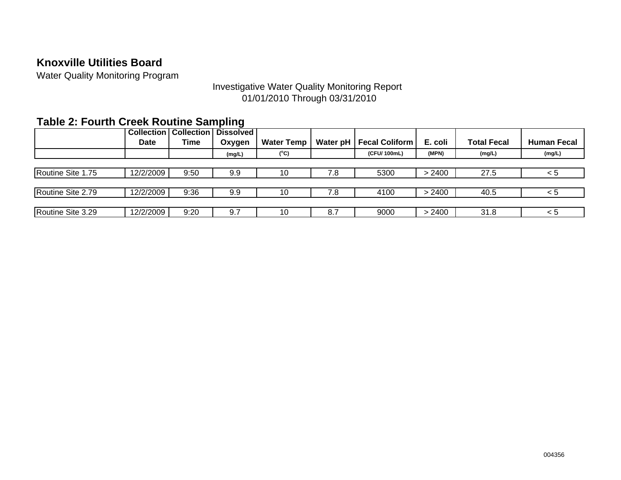Water Quality Monitoring Program

### Investigative Water Quality Monitoring Report 01/01/2010 Through 03/31/2010

## **Table 2: Fourth Creek Routine Sampling**

|                   |             | <b>Collection   Collection  </b> | <b>Dissolved</b> |                   |          |                       |         |                    |                    |
|-------------------|-------------|----------------------------------|------------------|-------------------|----------|-----------------------|---------|--------------------|--------------------|
|                   | <b>Date</b> | <b>Time</b>                      | Oxygen           | <b>Water Temp</b> | Water pH | <b>Fecal Coliform</b> | E. coli | <b>Total Fecal</b> | <b>Human Fecal</b> |
|                   |             |                                  | (mg/L)           | $(^{\circ}C)$     |          | (CFU/100mL)           | (MPN)   | (mg/L)             | (mg/L)             |
|                   |             |                                  |                  |                   |          |                       |         |                    |                    |
| Routine Site 1.75 | 12/2/2009   | 9:50                             | 9.9              | 10                | 7.8      | 5300                  | > 2400  | 27.5               | < 5                |
|                   |             |                                  |                  |                   |          |                       |         |                    |                    |
| Routine Site 2.79 | 12/2/2009   | 9:36                             | 9.9              | 10                | 7.8      | 4100                  | > 2400  | 40.5               | < ১                |
|                   |             |                                  |                  |                   |          |                       |         |                    |                    |
| Routine Site 3.29 | 12/2/2009   | 9:20                             | 9.7              | 10                | 8.7      | 9000                  | > 2400  | 31.8               | < 5                |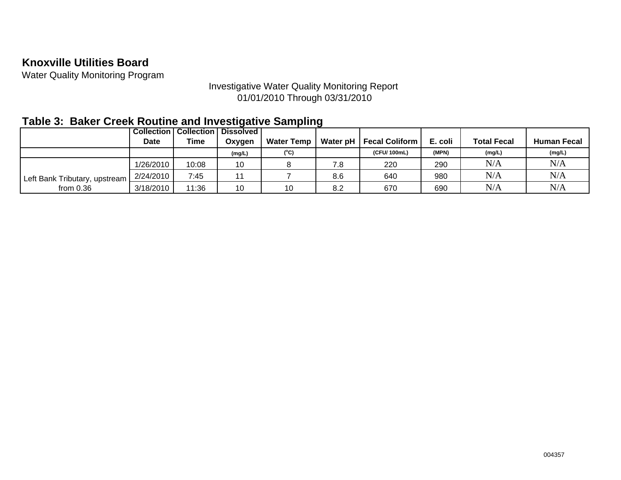Water Quality Monitoring Program

### Investigative Water Quality Monitoring Report 01/01/2010 Through 03/31/2010

## **Table 3: Baker Creek Routine and Investigative Sampling**

|                               |             | <b>Collection   Collection  </b> | <b>Dissolved</b> |                   |     |                           |         |                    |                    |
|-------------------------------|-------------|----------------------------------|------------------|-------------------|-----|---------------------------|---------|--------------------|--------------------|
|                               | <b>Date</b> | Time                             | Oxygen           | <b>Water Temp</b> |     | Water pH   Fecal Coliform | E. coli | <b>Total Fecal</b> | <b>Human Fecal</b> |
|                               |             |                                  | (mg/L)           | $(^{\circ}C)$     |     | (CFU/100mL)               | (MPN)   | (mg/L)             | (mg/L)             |
|                               | 1/26/2010   | 10:08                            | 10               |                   | 7.8 | 220                       | 290     | N/A                | N/A                |
| Left Bank Tributary, upstream | 2/24/2010   | 7:45                             |                  |                   | 8.6 | 640                       | 980     | N/A                | N/A                |
| from $0.36$                   | 3/18/2010   | 11:36                            | 10               | 10                | 8.2 | 670                       | 690     | N/A                | N/A                |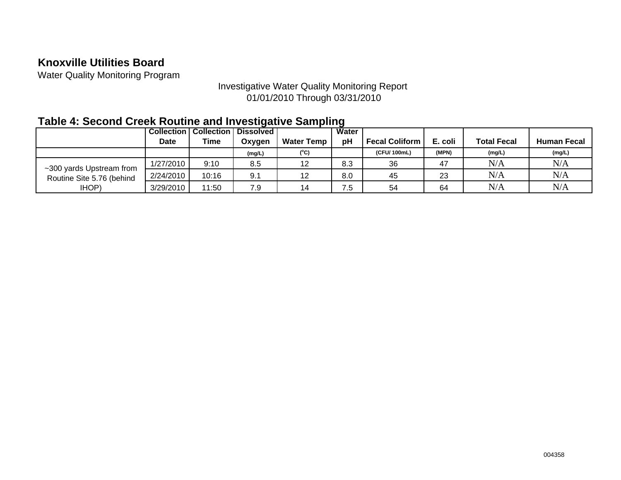Water Quality Monitoring Program

### Investigative Water Quality Monitoring Report 01/01/2010 Through 03/31/2010

## **Table 4: Second Creek Routine and Investigative Sampling**

|                           | <b>Collection</b> | <b>Collection</b> | <b>Dissolved</b> |                   | Water |                       |         |                    |                    |
|---------------------------|-------------------|-------------------|------------------|-------------------|-------|-----------------------|---------|--------------------|--------------------|
|                           | Date              | Time              | Oxygen           | <b>Water Temp</b> | pH    | <b>Fecal Coliform</b> | E. coli | <b>Total Fecal</b> | <b>Human Fecal</b> |
|                           |                   |                   | (mg/L)           | (°C)              |       | (CFU/100mL)           | (MPN)   | (mg/L)             | (mg/L)             |
| ~300 yards Upstream from  | 1/27/2010         | 9:10              | 8.5              | 12                | 8.3   | 36                    | 47      | N/A                | N/A                |
| Routine Site 5.76 (behind | 2/24/2010         | 10:16             | 9.1              | 12                | 8.0   | 45                    | 23      | N/A                | N/A                |
| IHOP)                     | 3/29/2010         | 11:50             | 7.9              | 14                | 7.5   | 54                    | 64      | N/A                | N/A                |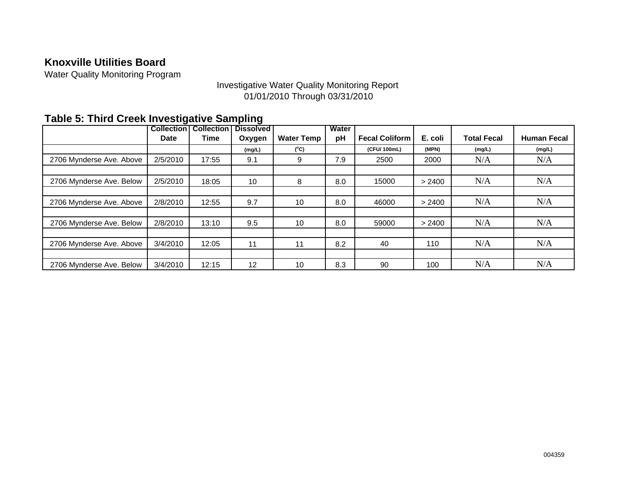Water Quality Monitoring Program

### Investigative Water Quality Monitoring Report 01/01/2010 Through 03/31/2010

|                          | ີ<br><b>Collection</b> | <b>Collection</b> | ັ<br><b>Dissolved</b> |                   | Water |                       |         |                    |                    |
|--------------------------|------------------------|-------------------|-----------------------|-------------------|-------|-----------------------|---------|--------------------|--------------------|
|                          | <b>Date</b>            | Time              | Oxygen                | <b>Water Temp</b> | pH    | <b>Fecal Coliform</b> | E. coli | <b>Total Fecal</b> | <b>Human Fecal</b> |
|                          |                        |                   | (mg/L)                | $(^{\circ}C)$     |       | (CFU/100mL)           | (MPN)   | (mg/L)             | (mg/L)             |
| 2706 Mynderse Ave. Above | 2/5/2010               | 17:55             | 9.1                   | 9                 | 7.9   | 2500                  | 2000    | N/A                | N/A                |
|                          |                        |                   |                       |                   |       |                       |         |                    |                    |
| 2706 Mynderse Ave. Below | 2/5/2010               | 18:05             | 10                    | 8                 | 8.0   | 15000                 | > 2400  | N/A                | N/A                |
|                          |                        |                   |                       |                   |       |                       |         |                    |                    |
| 2706 Mynderse Ave. Above | 2/8/2010               | 12:55             | 9.7                   | 10                | 8.0   | 46000                 | > 2400  | N/A                | N/A                |
|                          |                        |                   |                       |                   |       |                       |         |                    |                    |
| 2706 Mynderse Ave. Below | 2/8/2010               | 13:10             | 9.5                   | 10                | 8.0   | 59000                 | > 2400  | N/A                | N/A                |
|                          |                        |                   |                       |                   |       |                       |         |                    |                    |
| 2706 Mynderse Ave. Above | 3/4/2010               | 12:05             | 11                    | 11                | 8.2   | 40                    | 110     | N/A                | N/A                |
|                          |                        |                   |                       |                   |       |                       |         |                    |                    |
| 2706 Mynderse Ave. Below | 3/4/2010               | 12:15             | 12                    | 10                | 8.3   | 90                    | 100     | N/A                | N/A                |

## **Table 5: Third Creek Investigative Sampling**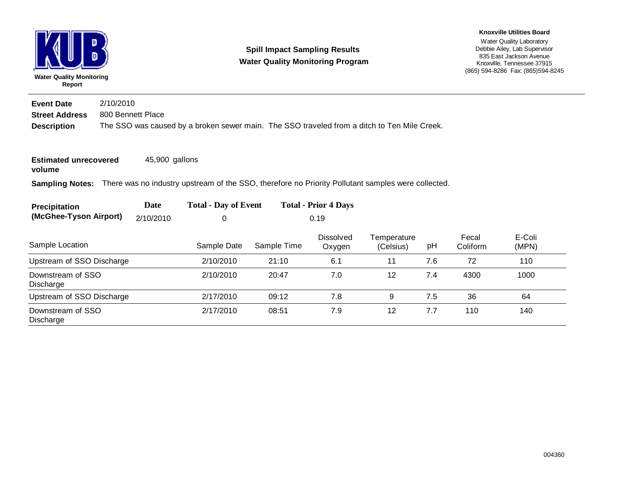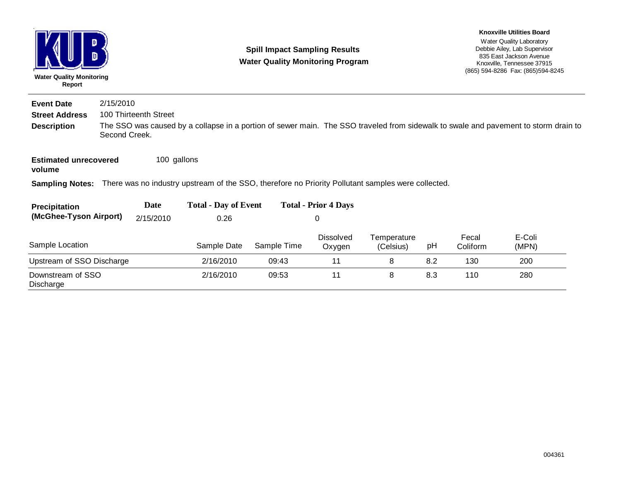| D<br><b>Water Quality Monitoring</b><br>Report |               |                       |                                                                                                                                     | <b>Spill Impact Sampling Results</b><br><b>Water Quality Monitoring Program</b> |                             |                          |     |                   | <b>Knoxville Utilities Board</b><br>Water Quality Laboratory<br>Debbie Ailey, Lab Supervisor<br>835 East Jackson Avenue<br>Knoxville, Tennessee 37915<br>(865) 594-8286 Fax: (865) 594-8245 |  |  |  |
|------------------------------------------------|---------------|-----------------------|-------------------------------------------------------------------------------------------------------------------------------------|---------------------------------------------------------------------------------|-----------------------------|--------------------------|-----|-------------------|---------------------------------------------------------------------------------------------------------------------------------------------------------------------------------------------|--|--|--|
| <b>Event Date</b>                              | 2/15/2010     |                       |                                                                                                                                     |                                                                                 |                             |                          |     |                   |                                                                                                                                                                                             |  |  |  |
| <b>Street Address</b>                          |               | 100 Thirteenth Street |                                                                                                                                     |                                                                                 |                             |                          |     |                   |                                                                                                                                                                                             |  |  |  |
| <b>Description</b>                             | Second Creek. |                       | The SSO was caused by a collapse in a portion of sewer main. The SSO traveled from sidewalk to swale and pavement to storm drain to |                                                                                 |                             |                          |     |                   |                                                                                                                                                                                             |  |  |  |
| <b>Estimated unrecovered</b><br>volume         |               | 100 gallons           |                                                                                                                                     |                                                                                 |                             |                          |     |                   |                                                                                                                                                                                             |  |  |  |
| <b>Sampling Notes:</b>                         |               |                       | There was no industry upstream of the SSO, therefore no Priority Pollutant samples were collected.                                  |                                                                                 |                             |                          |     |                   |                                                                                                                                                                                             |  |  |  |
| <b>Precipitation</b>                           |               | Date                  | <b>Total - Day of Event</b>                                                                                                         |                                                                                 | <b>Total - Prior 4 Days</b> |                          |     |                   |                                                                                                                                                                                             |  |  |  |
| (McGhee-Tyson Airport)                         |               | 2/15/2010             | 0.26                                                                                                                                |                                                                                 | 0                           |                          |     |                   |                                                                                                                                                                                             |  |  |  |
| Sample Location                                |               |                       | Sample Date                                                                                                                         | Sample Time                                                                     | Dissolved<br>Oxygen         | Temperature<br>(Celsius) | pH  | Fecal<br>Coliform | E-Coli<br>(MPN)                                                                                                                                                                             |  |  |  |
| Upstream of SSO Discharge                      |               |                       | 2/16/2010                                                                                                                           | 09:43                                                                           | 11                          | 8                        | 8.2 | 130               | 200                                                                                                                                                                                         |  |  |  |
| Downstream of SSO<br>Discharge                 |               |                       | 2/16/2010                                                                                                                           | 09:53                                                                           | 11                          | 8                        | 8.3 | 110               | 280                                                                                                                                                                                         |  |  |  |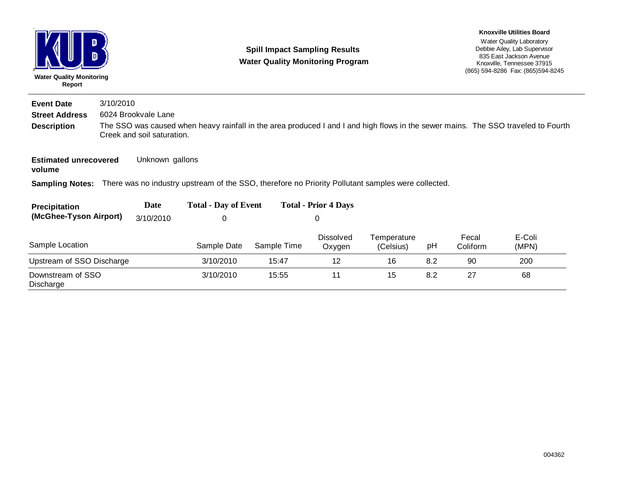| <b>Water Quality Monitoring</b><br>Report | D         |                            | <b>Spill Impact Sampling Results</b><br><b>Water Quality Monitoring Program</b>                    |             |                             |                          |     |                   | <b>Knoxville Utilities Board</b><br>Water Quality Laboratory<br>Debbie Ailey, Lab Supervisor<br>835 East Jackson Avenue<br>Knoxville, Tennessee 37915<br>(865) 594-8286 Fax: (865) 594-8245 |  |  |
|-------------------------------------------|-----------|----------------------------|----------------------------------------------------------------------------------------------------|-------------|-----------------------------|--------------------------|-----|-------------------|---------------------------------------------------------------------------------------------------------------------------------------------------------------------------------------------|--|--|
| <b>Event Date</b>                         | 3/10/2010 |                            |                                                                                                    |             |                             |                          |     |                   |                                                                                                                                                                                             |  |  |
| <b>Street Address</b>                     |           | 6024 Brookvale Lane        |                                                                                                    |             |                             |                          |     |                   |                                                                                                                                                                                             |  |  |
| <b>Description</b>                        |           | Creek and soil saturation. |                                                                                                    |             |                             |                          |     |                   | The SSO was caused when heavy rainfall in the area produced I and I and high flows in the sewer mains. The SSO traveled to Fourth                                                           |  |  |
| <b>Estimated unrecovered</b><br>volume    |           | Unknown gallons            |                                                                                                    |             |                             |                          |     |                   |                                                                                                                                                                                             |  |  |
| <b>Sampling Notes:</b>                    |           |                            | There was no industry upstream of the SSO, therefore no Priority Pollutant samples were collected. |             |                             |                          |     |                   |                                                                                                                                                                                             |  |  |
| Precipitation                             |           | Date                       | <b>Total - Day of Event</b>                                                                        |             | <b>Total - Prior 4 Days</b> |                          |     |                   |                                                                                                                                                                                             |  |  |
| (McGhee-Tyson Airport)                    |           | 3/10/2010                  | 0                                                                                                  |             | 0                           |                          |     |                   |                                                                                                                                                                                             |  |  |
| Sample Location                           |           |                            | Sample Date                                                                                        | Sample Time | <b>Dissolved</b><br>Oxygen  | Temperature<br>(Celsius) | pH  | Fecal<br>Coliform | E-Coli<br>(MPN)                                                                                                                                                                             |  |  |
| Upstream of SSO Discharge                 |           |                            | 3/10/2010                                                                                          | 15:47       | 12                          | 16                       | 8.2 | 90                | 200                                                                                                                                                                                         |  |  |
| Downstream of SSO<br>Discharge            |           |                            | 3/10/2010                                                                                          | 15:55       | 11                          | 15                       | 8.2 | 27                | 68                                                                                                                                                                                          |  |  |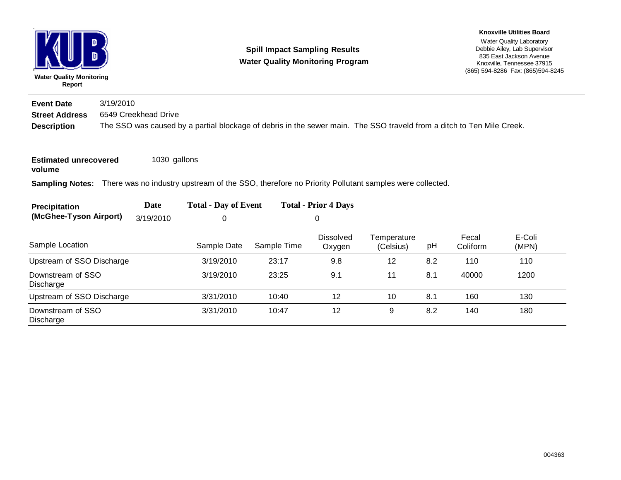| <b>Water Quality Monitoring</b> | Report |  |
|---------------------------------|--------|--|

### **Spill Impact Sampling Results Water Quality Monitoring Program**

#### **Knoxville Utilities Board**

Water Quality Laboratory Debbie Ailey, Lab Supervisor 835 East Jackson Avenue Knoxville, Tennessee 37915 (865) 594-8286 Fax: (865)594-8245

**Description** The SSO was caused by a partial blockage of debris in the sewer main. The SSO traveld from a ditch to Ten Mile Creek. **Street Address** 6549 Creekhead Drive **Event Date**3/19/2010

**Estimated unrecovered**  1030 gallons

**volume**

**Sampling Notes:** There was no industry upstream of the SSO, therefore no Priority Pollutant samples were collected.

| Precipitation                      | Date | <b>Total - Day of Event</b> | <b>Total - Prior 4 Days</b> |
|------------------------------------|------|-----------------------------|-----------------------------|
| (McGhee-Tyson Airport) $3/19/2010$ |      |                             |                             |

| Sample Location                | Sample Date | Sample Time | <b>Dissolved</b><br>Oxygen | Temperature<br>(Celsius) | pH  | Fecal<br>Coliform | E-Coli<br>(MPN) |
|--------------------------------|-------------|-------------|----------------------------|--------------------------|-----|-------------------|-----------------|
| Upstream of SSO Discharge      | 3/19/2010   | 23:17       | 9.8                        | 12                       | 8.2 | 110               | 110             |
| Downstream of SSO<br>Discharge | 3/19/2010   | 23:25       | 9.1                        | 11                       | 8.1 | 40000             | 1200            |
| Upstream of SSO Discharge      | 3/31/2010   | 10:40       | 12                         | 10                       | 8.1 | 160               | 130             |
| Downstream of SSO<br>Discharge | 3/31/2010   | 10:47       | 12                         | 9                        | 8.2 | 140               | 180             |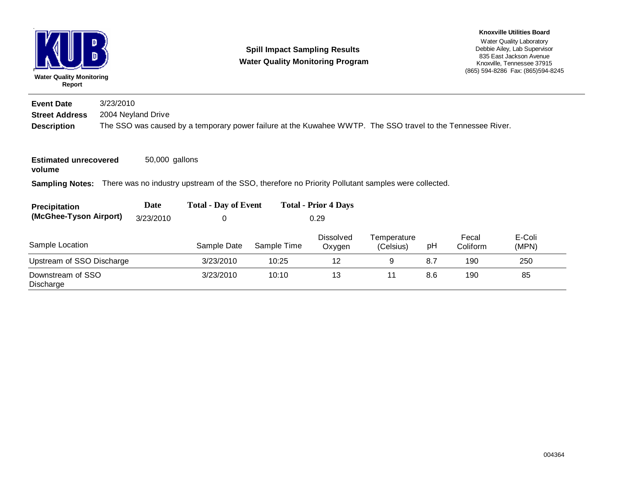| D<br><b>Water Quality Monitoring</b><br>Report               |           |                    | <b>Spill Impact Sampling Results</b><br><b>Water Quality Monitoring Program</b>                             | <b>Knoxville Utilities Board</b><br>Water Quality Laboratory<br>Debbie Ailey, Lab Supervisor<br>835 East Jackson Avenue<br>Knoxville, Tennessee 37915<br>(865) 594-8286 Fax: (865) 594-8245 |                             |                          |     |                   |                 |  |
|--------------------------------------------------------------|-----------|--------------------|-------------------------------------------------------------------------------------------------------------|---------------------------------------------------------------------------------------------------------------------------------------------------------------------------------------------|-----------------------------|--------------------------|-----|-------------------|-----------------|--|
| <b>Event Date</b>                                            | 3/23/2010 |                    |                                                                                                             |                                                                                                                                                                                             |                             |                          |     |                   |                 |  |
| <b>Street Address</b>                                        |           | 2004 Neyland Drive |                                                                                                             |                                                                                                                                                                                             |                             |                          |     |                   |                 |  |
| <b>Description</b><br><b>Estimated unrecovered</b><br>volume |           | 50,000 gallons     | The SSO was caused by a temporary power failure at the Kuwahee WWTP. The SSO travel to the Tennessee River. |                                                                                                                                                                                             |                             |                          |     |                   |                 |  |
| <b>Sampling Notes:</b>                                       |           |                    | There was no industry upstream of the SSO, therefore no Priority Pollutant samples were collected.          |                                                                                                                                                                                             |                             |                          |     |                   |                 |  |
| Precipitation                                                |           | Date               | <b>Total - Day of Event</b>                                                                                 |                                                                                                                                                                                             | <b>Total - Prior 4 Days</b> |                          |     |                   |                 |  |
| (McGhee-Tyson Airport)                                       |           | 3/23/2010          | 0                                                                                                           |                                                                                                                                                                                             | 0.29                        |                          |     |                   |                 |  |
| Sample Location                                              |           |                    | Sample Date                                                                                                 | Sample Time                                                                                                                                                                                 | Dissolved<br>Oxygen         | Temperature<br>(Celsius) | pH  | Fecal<br>Coliform | E-Coli<br>(MPN) |  |
| Upstream of SSO Discharge                                    |           |                    | 3/23/2010                                                                                                   | 10:25                                                                                                                                                                                       | 12                          | 9                        | 8.7 | 190               | 250             |  |
| Downstream of SSO<br>Discharge                               |           |                    | 3/23/2010                                                                                                   | 10:10                                                                                                                                                                                       | 13                          | 11                       | 8.6 | 190               | 85              |  |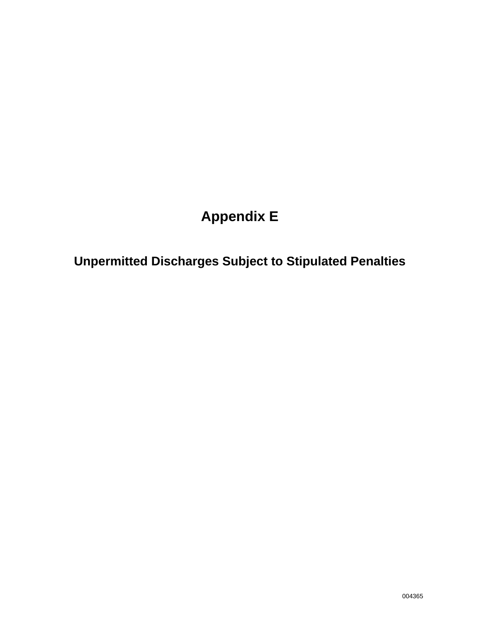# **Appendix E**

**Unpermitted Discharges Subject to Stipulated Penalties**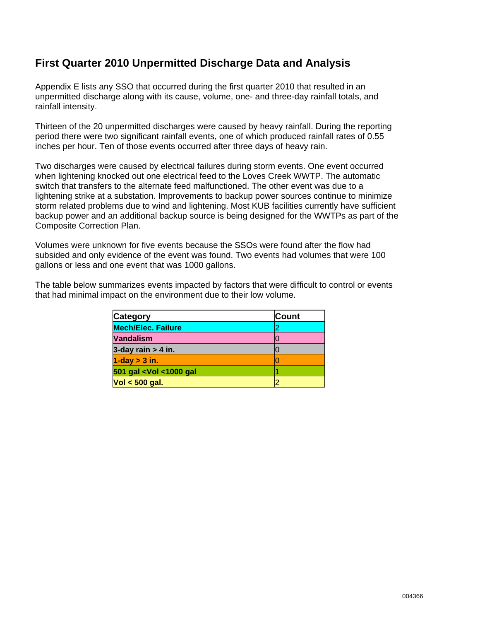### **First Quarter 2010 Unpermitted Discharge Data and Analysis**

Appendix E lists any SSO that occurred during the first quarter 2010 that resulted in an unpermitted discharge along with its cause, volume, one- and three-day rainfall totals, and rainfall intensity.

Thirteen of the 20 unpermitted discharges were caused by heavy rainfall. During the reporting period there were two significant rainfall events, one of which produced rainfall rates of 0.55 inches per hour. Ten of those events occurred after three days of heavy rain.

Two discharges were caused by electrical failures during storm events. One event occurred when lightening knocked out one electrical feed to the Loves Creek WWTP. The automatic switch that transfers to the alternate feed malfunctioned. The other event was due to a lightening strike at a substation. Improvements to backup power sources continue to minimize storm related problems due to wind and lightening. Most KUB facilities currently have sufficient backup power and an additional backup source is being designed for the WWTPs as part of the Composite Correction Plan.

Volumes were unknown for five events because the SSOs were found after the flow had subsided and only evidence of the event was found. Two events had volumes that were 100 gallons or less and one event that was 1000 gallons.

The table below summarizes events impacted by factors that were difficult to control or events that had minimal impact on the environment due to their low volume.

| <b>Category</b>                                     | <b>Count</b> |
|-----------------------------------------------------|--------------|
| <b>Mech/Elec. Failure</b>                           | 2            |
| <b>Vandalism</b>                                    | 0            |
| 3-day rain $> 4$ in.                                |              |
| $1$ -day $>$ 3 in.                                  |              |
| 501 gal <vol <1000="" gal<="" th=""><th></th></vol> |              |
| $Vol < 500$ gal.                                    |              |